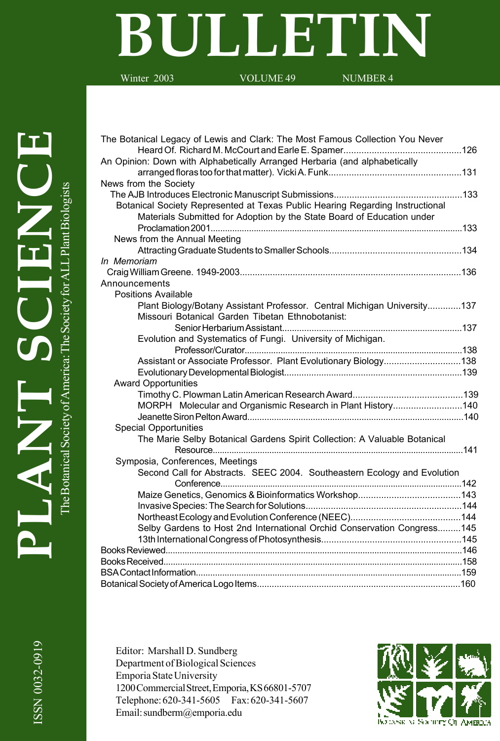# **BULLETIN**

Winter 2003 VOLUME 49 NUMBER 4

| The Botanical Legacy of Lewis and Clark: The Most Famous Collection You Never |  |
|-------------------------------------------------------------------------------|--|
|                                                                               |  |
| An Opinion: Down with Alphabetically Arranged Herbaria (and alphabetically    |  |
|                                                                               |  |
| News from the Society                                                         |  |
|                                                                               |  |
| Botanical Society Represented at Texas Public Hearing Regarding Instructional |  |
| Materials Submitted for Adoption by the State Board of Education under        |  |
|                                                                               |  |
| News from the Annual Meeting                                                  |  |
|                                                                               |  |
| In Memoriam                                                                   |  |
|                                                                               |  |
| Announcements                                                                 |  |
| Positions Available                                                           |  |
| Plant Biology/Botany Assistant Professor. Central Michigan University137      |  |
| Missouri Botanical Garden Tibetan Ethnobotanist:                              |  |
|                                                                               |  |
| Evolution and Systematics of Fungi. University of Michigan.                   |  |
|                                                                               |  |
| Assistant or Associate Professor. Plant Evolutionary Biology138               |  |
|                                                                               |  |
| <b>Award Opportunities</b>                                                    |  |
|                                                                               |  |
| MORPH Molecular and Organismic Research in Plant History140                   |  |
|                                                                               |  |
| <b>Special Opportunities</b>                                                  |  |
| The Marie Selby Botanical Gardens Spirit Collection: A Valuable Botanical     |  |
|                                                                               |  |
| Symposia, Conferences, Meetings                                               |  |
| Second Call for Abstracts. SEEC 2004. Southeastern Ecology and Evolution      |  |
|                                                                               |  |
|                                                                               |  |
|                                                                               |  |
|                                                                               |  |
| Selby Gardens to Host 2nd International Orchid Conservation Congress145       |  |
|                                                                               |  |
|                                                                               |  |
|                                                                               |  |
|                                                                               |  |
|                                                                               |  |
|                                                                               |  |

Editor: Marshall D. Sundberg Department of Biological Sciences Emporia State University 1200 Commercial Street, Emporia, KS 66801-5707 Telephone: 620-341-5605 Fax: 620-341-5607 Email: sundberm@emporia.edu

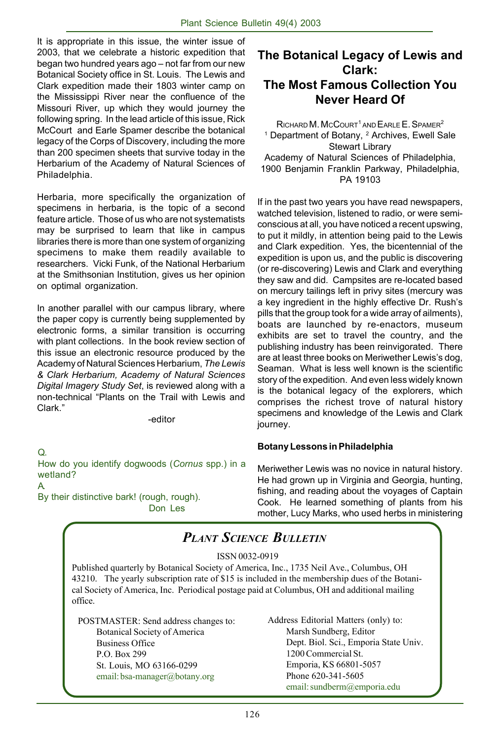It is appropriate in this issue, the winter issue of 2003, that we celebrate a historic expedition that began two hundred years ago – not far from our new Botanical Society office in St. Louis. The Lewis and Clark expedition made their 1803 winter camp on the Mississippi River near the confluence of the Missouri River, up which they would journey the following spring. In the lead article of this issue, Rick McCourt and Earle Spamer describe the botanical legacy of the Corps of Discovery, including the more than 200 specimen sheets that survive today in the Herbarium of the Academy of Natural Sciences of Philadelphia.

Herbaria, more specifically the organization of specimens in herbaria, is the topic of a second feature article. Those of us who are not systematists may be surprised to learn that like in campus libraries there is more than one system of organizing specimens to make them readily available to researchers. Vicki Funk, of the National Herbarium at the Smithsonian Institution, gives us her opinion on optimal organization.

In another parallel with our campus library, where the paper copy is currently being supplemented by electronic forms, a similar transition is occurring with plant collections. In the book review section of this issue an electronic resource produced by the Academy of Natural Sciences Herbarium, *The Lewis & Clark Herbarium, Academy of Natural Sciences Digital Imagery Study Set*, is reviewed along with a non-technical "Plants on the Trail with Lewis and Clark."

-editor

Q. How do you identify dogwoods (*Cornus* spp.) in a wetland? A.

By their distinctive bark! (rough, rough). Don Les

## **The Botanical Legacy of Lewis and Clark: The Most Famous Collection You Never Heard Of**

 $R$ ICHARD M. MCCOURT<sup>1</sup> AND  $F$ ARLE  $F$ . SPAMER<sup>2</sup> <sup>1</sup> Department of Botany, <sup>2</sup> Archives, Ewell Sale Stewart Library Academy of Natural Sciences of Philadelphia, 1900 Benjamin Franklin Parkway, Philadelphia, PA 19103

If in the past two years you have read newspapers, watched television, listened to radio, or were semiconscious at all, you have noticed a recent upswing, to put it mildly, in attention being paid to the Lewis and Clark expedition. Yes, the bicentennial of the expedition is upon us, and the public is discovering (or re-discovering) Lewis and Clark and everything they saw and did. Campsites are re-located based on mercury tailings left in privy sites (mercury was a key ingredient in the highly effective Dr. Rush's pills that the group took for a wide array of ailments), boats are launched by re-enactors, museum exhibits are set to travel the country, and the publishing industry has been reinvigorated. There are at least three books on Meriwether Lewis's dog, Seaman. What is less well known is the scientific story of the expedition. And even less widely known is the botanical legacy of the explorers, which comprises the richest trove of natural history specimens and knowledge of the Lewis and Clark journey.

## **Botany Lessons in Philadelphia**

Meriwether Lewis was no novice in natural history. He had grown up in Virginia and Georgia, hunting, fishing, and reading about the voyages of Captain Cook. He learned something of plants from his mother, Lucy Marks, who used herbs in ministering

# *PLANT SCIENCE BULLETIN*

#### ISSN 0032-0919

Published quarterly by Botanical Society of America, Inc., 1735 Neil Ave., Columbus, OH 43210. The yearly subscription rate of \$15 is included in the membership dues of the Botanical Society of America, Inc. Periodical postage paid at Columbus, OH and additional mailing office.

POSTMASTER: Send address changes to: Botanical Society of America Business Office P.O. Box 299 St. Louis, MO 63166-0299 email: bsa-manager@botany.org

Address Editorial Matters (only) to: Marsh Sundberg, Editor Dept. Biol. Sci., Emporia State Univ. 1200 Commercial St. Emporia, KS 66801-5057 Phone 620-341-5605 email: sundberm@emporia.edu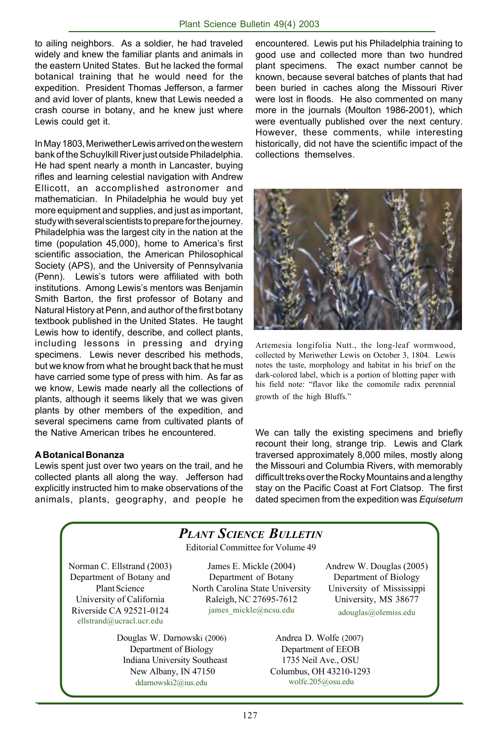to ailing neighbors. As a soldier, he had traveled widely and knew the familiar plants and animals in the eastern United States. But he lacked the formal botanical training that he would need for the expedition. President Thomas Jefferson, a farmer and avid lover of plants, knew that Lewis needed a crash course in botany, and he knew just where Lewis could get it.

In May 1803, Meriwether Lewis arrived on the western bank of the Schuylkill River just outside Philadelphia. He had spent nearly a month in Lancaster, buying rifles and learning celestial navigation with Andrew Ellicott, an accomplished astronomer and mathematician. In Philadelphia he would buy yet more equipment and supplies, and just as important, study with several scientists to prepare for the journey. Philadelphia was the largest city in the nation at the time (population 45,000), home to America's first scientific association, the American Philosophical Society (APS), and the University of Pennsylvania (Penn). Lewis's tutors were affiliated with both institutions. Among Lewis's mentors was Benjamin Smith Barton, the first professor of Botany and Natural History at Penn, and author of the first botany textbook published in the United States. He taught Lewis how to identify, describe, and collect plants, including lessons in pressing and drying specimens. Lewis never described his methods, but we know from what he brought back that he must have carried some type of press with him. As far as we know, Lewis made nearly all the collections of plants, although it seems likely that we was given plants by other members of the expedition, and several specimens came from cultivated plants of the Native American tribes he encountered.

#### **A Botanical Bonanza**

Lewis spent just over two years on the trail, and he collected plants all along the way. Jefferson had explicitly instructed him to make observations of the animals, plants, geography, and people he

encountered. Lewis put his Philadelphia training to good use and collected more than two hundred plant specimens. The exact number cannot be known, because several batches of plants that had been buried in caches along the Missouri River were lost in floods. He also commented on many more in the journals (Moulton 1986-2001), which were eventually published over the next century. However, these comments, while interesting historically, did not have the scientific impact of the collections themselves.



Artemesia longifolia Nutt., the long-leaf wormwood, collected by Meriwether Lewis on October 3, 1804. Lewis notes the taste, morphology and habitat in his brief on the dark-colored label, which is a portion of blotting paper with his field note: "flavor like the comomile radix perennial growth of the high Bluffs."

We can tally the existing specimens and briefly recount their long, strange trip. Lewis and Clark traversed approximately 8,000 miles, mostly along the Missouri and Columbia Rivers, with memorably difficult treks over the Rocky Mountains and a lengthy stay on the Pacific Coast at Fort Clatsop. The first dated specimen from the expedition was *Equisetum*

# *PLANT SCIENCE BULLETIN*

Editorial Committee for Volume 49

Norman C. Ellstrand (2003) Department of Botany and Plant Science University of California Riverside CA 92521-0124 ellstrand@ucracl.ucr.edu

James E. Mickle (2004) Department of Botany North Carolina State University Raleigh, NC 27695-7612 james\_mickle@ncsu.edu

 Douglas W. Darnowski (2006) Department of Biology Indiana University Southeast New Albany, IN 47150 ddarnowski2@ius.edu

Andrew W. Douglas (2005) Department of Biology University of Mississippi University, MS 38677 adouglas@olemiss.edu

Andrea D. Wolfe (2007) Department of EEOB 1735 Neil Ave., OSU Columbus, OH 43210-1293 wolfe.205@osu.edu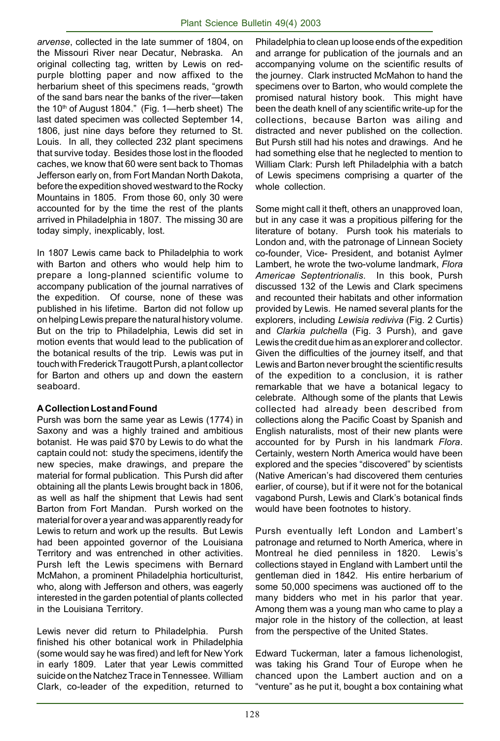*arvense*, collected in the late summer of 1804, on the Missouri River near Decatur, Nebraska. An original collecting tag, written by Lewis on redpurple blotting paper and now affixed to the herbarium sheet of this specimens reads, "growth of the sand bars near the banks of the river—taken the  $10<sup>th</sup>$  of August 1804." (Fig. 1—herb sheet) The last dated specimen was collected September 14, 1806, just nine days before they returned to St. Louis. In all, they collected 232 plant specimens that survive today. Besides those lost in the flooded caches, we know that 60 were sent back to Thomas Jefferson early on, from Fort Mandan North Dakota, before the expedition shoved westward to the Rocky Mountains in 1805. From those 60, only 30 were accounted for by the time the rest of the plants arrived in Philadelphia in 1807. The missing 30 are today simply, inexplicably, lost.

In 1807 Lewis came back to Philadelphia to work with Barton and others who would help him to prepare a long-planned scientific volume to accompany publication of the journal narratives of the expedition. Of course, none of these was published in his lifetime. Barton did not follow up on helping Lewis prepare the natural history volume. But on the trip to Philadelphia, Lewis did set in motion events that would lead to the publication of the botanical results of the trip. Lewis was put in touch with Frederick Traugott Pursh, a plant collector for Barton and others up and down the eastern seaboard.

#### **A Collection Lost and Found**

Pursh was born the same year as Lewis (1774) in Saxony and was a highly trained and ambitious botanist. He was paid \$70 by Lewis to do what the captain could not: study the specimens, identify the new species, make drawings, and prepare the material for formal publication. This Pursh did after obtaining all the plants Lewis brought back in 1806, as well as half the shipment that Lewis had sent Barton from Fort Mandan. Pursh worked on the material for over a year and was apparently ready for Lewis to return and work up the results. But Lewis had been appointed governor of the Louisiana Territory and was entrenched in other activities. Pursh left the Lewis specimens with Bernard McMahon, a prominent Philadelphia horticulturist, who, along with Jefferson and others, was eagerly interested in the garden potential of plants collected in the Louisiana Territory.

Lewis never did return to Philadelphia. Pursh finished his other botanical work in Philadelphia (some would say he was fired) and left for New York in early 1809. Later that year Lewis committed suicide on the Natchez Trace in Tennessee. William Clark, co-leader of the expedition, returned to

Philadelphia to clean up loose ends of the expedition and arrange for publication of the journals and an accompanying volume on the scientific results of the journey. Clark instructed McMahon to hand the specimens over to Barton, who would complete the promised natural history book. This might have been the death knell of any scientific write-up for the collections, because Barton was ailing and distracted and never published on the collection. But Pursh still had his notes and drawings. And he had something else that he neglected to mention to William Clark: Pursh left Philadelphia with a batch of Lewis specimens comprising a quarter of the whole collection.

Some might call it theft, others an unapproved loan, but in any case it was a propitious pilfering for the literature of botany. Pursh took his materials to London and, with the patronage of Linnean Society co-founder, Vice- President, and botanist Aylmer Lambert, he wrote the two-volume landmark, *Flora Americae Septentrionalis*. In this book, Pursh discussed 132 of the Lewis and Clark specimens and recounted their habitats and other information provided by Lewis. He named several plants for the explorers, including *Lewisia rediviva* (Fig. 2 Curtis) and *Clarkia pulchella* (Fig. 3 Pursh), and gave Lewis the credit due him as an explorer and collector. Given the difficulties of the journey itself, and that Lewis and Barton never brought the scientific results of the expedition to a conclusion, it is rather remarkable that we have a botanical legacy to celebrate. Although some of the plants that Lewis collected had already been described from collections along the Pacific Coast by Spanish and English naturalists, most of their new plants were accounted for by Pursh in his landmark *Flora*. Certainly, western North America would have been explored and the species "discovered" by scientists (Native American's had discovered them centuries earlier, of course), but if it were not for the botanical vagabond Pursh, Lewis and Clark's botanical finds would have been footnotes to history.

Pursh eventually left London and Lambert's patronage and returned to North America, where in Montreal he died penniless in 1820. Lewis's collections stayed in England with Lambert until the gentleman died in 1842. His entire herbarium of some 50,000 specimens was auctioned off to the many bidders who met in his parlor that year. Among them was a young man who came to play a major role in the history of the collection, at least from the perspective of the United States.

Edward Tuckerman, later a famous lichenologist, was taking his Grand Tour of Europe when he chanced upon the Lambert auction and on a "venture" as he put it, bought a box containing what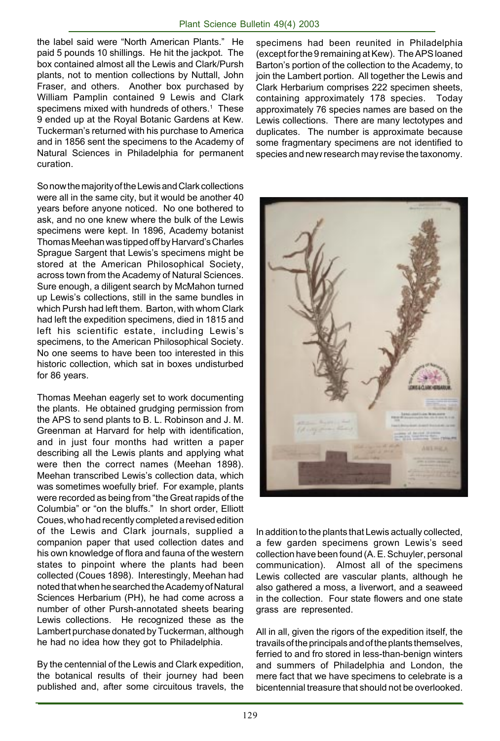the label said were "North American Plants." He paid 5 pounds 10 shillings. He hit the jackpot. The box contained almost all the Lewis and Clark/Pursh plants, not to mention collections by Nuttall, John Fraser, and others. Another box purchased by William Pamplin contained 9 Lewis and Clark specimens mixed with hundreds of others.<sup>1</sup> These 9 ended up at the Royal Botanic Gardens at Kew. Tuckerman's returned with his purchase to America and in 1856 sent the specimens to the Academy of Natural Sciences in Philadelphia for permanent curation.

So now the majority of the Lewis and Clark collections were all in the same city, but it would be another 40 years before anyone noticed. No one bothered to ask, and no one knew where the bulk of the Lewis specimens were kept. In 1896, Academy botanist Thomas Meehan was tipped off by Harvard's Charles Sprague Sargent that Lewis's specimens might be stored at the American Philosophical Society, across town from the Academy of Natural Sciences. Sure enough, a diligent search by McMahon turned up Lewis's collections, still in the same bundles in which Pursh had left them. Barton, with whom Clark had left the expedition specimens, died in 1815 and left his scientific estate, including Lewis's specimens, to the American Philosophical Society. No one seems to have been too interested in this historic collection, which sat in boxes undisturbed for 86 years.

Thomas Meehan eagerly set to work documenting the plants. He obtained grudging permission from the APS to send plants to B. L. Robinson and J. M. Greenman at Harvard for help with identification, and in just four months had written a paper describing all the Lewis plants and applying what were then the correct names (Meehan 1898). Meehan transcribed Lewis's collection data, which was sometimes woefully brief. For example, plants were recorded as being from "the Great rapids of the Columbia" or "on the bluffs." In short order, Elliott Coues, who had recently completed a revised edition of the Lewis and Clark journals, supplied a companion paper that used collection dates and his own knowledge of flora and fauna of the western states to pinpoint where the plants had been collected (Coues 1898). Interestingly, Meehan had noted that when he searched the Academy of Natural Sciences Herbarium (PH), he had come across a number of other Pursh-annotated sheets bearing Lewis collections. He recognized these as the Lambert purchase donated by Tuckerman, although he had no idea how they got to Philadelphia.

By the centennial of the Lewis and Clark expedition, the botanical results of their journey had been published and, after some circuitous travels, the specimens had been reunited in Philadelphia (except for the 9 remaining at Kew). The APS loaned Barton's portion of the collection to the Academy, to join the Lambert portion. All together the Lewis and Clark Herbarium comprises 222 specimen sheets, containing approximately 178 species. Today approximately 76 species names are based on the Lewis collections. There are many lectotypes and duplicates. The number is approximate because some fragmentary specimens are not identified to species and new research may revise the taxonomy.



In addition to the plants that Lewis actually collected, a few garden specimens grown Lewis's seed collection have been found (A. E. Schuyler, personal communication). Almost all of the specimens Lewis collected are vascular plants, although he also gathered a moss, a liverwort, and a seaweed in the collection. Four state flowers and one state grass are represented.

All in all, given the rigors of the expedition itself, the travails of the principals and of the plants themselves, ferried to and fro stored in less-than-benign winters and summers of Philadelphia and London, the mere fact that we have specimens to celebrate is a bicentennial treasure that should not be overlooked.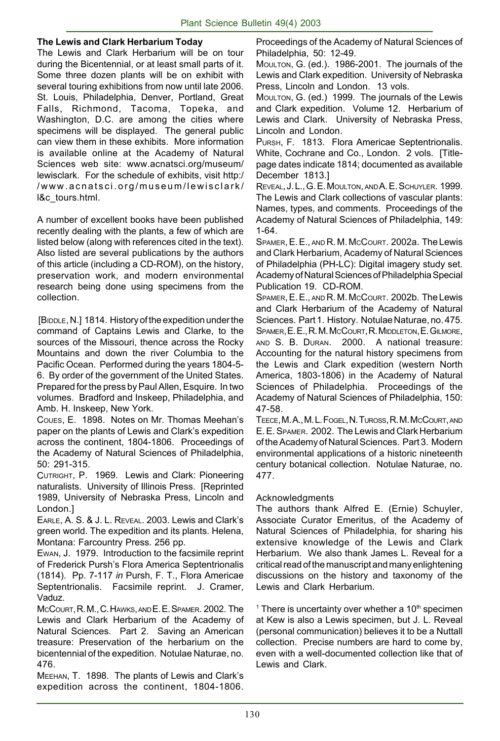#### **The Lewis and Clark Herbarium Today**

The Lewis and Clark Herbarium will be on tour during the Bicentennial, or at least small parts of it. Some three dozen plants will be on exhibit with several touring exhibitions from now until late 2006. St. Louis, Philadelphia, Denver, Portland, Great Falls, Richmond, Tacoma, Topeka, and Washington, D.C. are among the cities where specimens will be displayed. The general public can view them in these exhibits. More information is available online at the Academy of Natural Sciences web site: www.acnatsci.org/museum/ lewisclark. For the schedule of exhibits, visit http:/ /www.acnatsci.org/museum/lewisclark/ l&c\_tours.html.

A number of excellent books have been published recently dealing with the plants, a few of which are listed below (along with references cited in the text). Also listed are several publications by the authors of this article (including a CD-ROM), on the history, preservation work, and modern environmental research being done using specimens from the collection.

 [BIDDLE, N.] 1814. History of the expedition under the command of Captains Lewis and Clarke, to the sources of the Missouri, thence across the Rocky Mountains and down the river Columbia to the Pacific Ocean. Performed during the years 1804-5- 6. By order of the government of the United States. Prepared for the press by Paul Allen, Esquire. In two volumes. Bradford and Inskeep, Philadelphia, and Amb. H. Inskeep, New York.

COUES, E. 1898. Notes on Mr. Thomas Meehan's paper on the plants of Lewis and Clark's expedition across the continent, 1804-1806. Proceedings of the Academy of Natural Sciences of Philadelphia, 50: 291-315.

CUTRIGHT, P. 1969. Lewis and Clark: Pioneering naturalists. University of Illinois Press. [Reprinted 1989, University of Nebraska Press, Lincoln and London.]

EARLE, A. S. & J. L. REVEAL. 2003. Lewis and Clark's green world. The expedition and its plants. Helena, Montana: Farcountry Press. 256 pp.

EWAN, J. 1979. Introduction to the facsimile reprint of Frederick Pursh's Flora America Septentrionalis (1814). Pp. 7-117 *in* Pursh, F. T., Flora Americae Septentrionalis. Facsimile reprint. J. Cramer, Vaduz.

MCCOURT, R. M., C. HAWKS, AND E. E. SPAMER. 2002. The Lewis and Clark Herbarium of the Academy of Natural Sciences. Part 2. Saving an American treasure: Preservation of the herbarium on the bicentennial of the expedition. Notulae Naturae, no. 476.

MEEHAN, T. 1898. The plants of Lewis and Clark's expedition across the continent, 1804-1806.

Proceedings of the Academy of Natural Sciences of Philadelphia, 50: 12-49.

MOULTON, G. (ed.). 1986-2001. The journals of the Lewis and Clark expedition. University of Nebraska Press, Lincoln and London. 13 vols.

MOULTON, G. (ed.) 1999. The journals of the Lewis and Clark expedition. Volume 12. Herbarium of Lewis and Clark. University of Nebraska Press, Lincoln and London.

PURSH, F. 1813. Flora Americae Septentrionalis. White, Cochrane and Co., London. 2 vols. [Titlepage dates indicate 1814; documented as available December 1813.]

REVEAL, J. L., G. E. MOULTON, AND A. E. SCHUYLER. 1999. The Lewis and Clark collections of vascular plants: Names, types, and comments. Proceedings of the Academy of Natural Sciences of Philadelphia, 149: 1-64.

SPAMER, E. E., AND R. M. MCCOURT. 2002a. The Lewis and Clark Herbarium, Academy of Natural Sciences of Philadelphia (PH-LC): Digital imagery study set. Academy of Natural Sciences of Philadelphia Special Publication 19. CD-ROM.

SPAMER, E. E., AND R. M. McCOURT. 2002b. The Lewis and Clark Herbarium of the Academy of Natural Sciences. Part 1. History. Notulae Naturae, no. 475. SPAMER, E. E., R. M. MCCOURT, R. MIDDLETON, E. GILMORE, AND S. B. DURAN. 2000. A national treasure: Accounting for the natural history specimens from the Lewis and Clark expedition (western North America, 1803-1806) in the Academy of Natural Sciences of Philadelphia. Proceedings of the Academy of Natural Sciences of Philadelphia, 150: 47-58.

TEECE, M. A., M. L. FOGEL, N. TUROSS, R. M. MCCOURT, AND E. E. SPAMER. 2002. The Lewis and Clark Herbarium of the Academy of Natural Sciences. Part 3. Modern environmental applications of a historic nineteenth century botanical collection. Notulae Naturae, no. 477.

#### Acknowledgments

The authors thank Alfred E. (Ernie) Schuyler, Associate Curator Emeritus, of the Academy of Natural Sciences of Philadelphia, for sharing his extensive knowledge of the Lewis and Clark Herbarium. We also thank James L. Reveal for a critical read of the manuscript and many enlightening discussions on the history and taxonomy of the Lewis and Clark Herbarium.

 $1$  There is uncertainty over whether a 10<sup>th</sup> specimen at Kew is also a Lewis specimen, but J. L. Reveal (personal communication) believes it to be a Nuttall collection. Precise numbers are hard to come by, even with a well-documented collection like that of Lewis and Clark.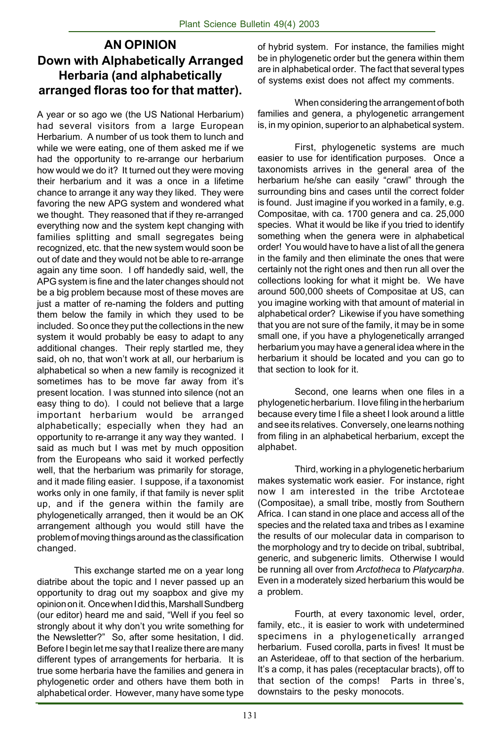## **AN OPINION Down with Alphabetically Arranged Herbaria (and alphabetically arranged floras too for that matter).**

A year or so ago we (the US National Herbarium) had several visitors from a large European Herbarium. A number of us took them to lunch and while we were eating, one of them asked me if we had the opportunity to re-arrange our herbarium how would we do it? It turned out they were moving their herbarium and it was a once in a lifetime chance to arrange it any way they liked. They were favoring the new APG system and wondered what we thought. They reasoned that if they re-arranged everything now and the system kept changing with families splitting and small segregates being recognized, etc. that the new system would soon be out of date and they would not be able to re-arrange again any time soon. I off handedly said, well, the APG system is fine and the later changes should not be a big problem because most of these moves are just a matter of re-naming the folders and putting them below the family in which they used to be included. So once they put the collections in the new system it would probably be easy to adapt to any additional changes. Their reply startled me, they said, oh no, that won't work at all, our herbarium is alphabetical so when a new family is recognized it sometimes has to be move far away from it's present location. I was stunned into silence (not an easy thing to do). I could not believe that a large important herbarium would be arranged alphabetically; especially when they had an opportunity to re-arrange it any way they wanted. I said as much but I was met by much opposition from the Europeans who said it worked perfectly well, that the herbarium was primarily for storage, and it made filing easier. I suppose, if a taxonomist works only in one family, if that family is never split up, and if the genera within the family are phylogenetically arranged, then it would be an OK arrangement although you would still have the problem of moving things around as the classification changed.

This exchange started me on a year long diatribe about the topic and I never passed up an opportunity to drag out my soapbox and give my opinion on it. Once when I did this, Marshall Sundberg (our editor) heard me and said, "Well if you feel so strongly about it why don't you write something for the Newsletter?" So, after some hesitation, I did. Before I begin let me say that I realize there are many different types of arrangements for herbaria. It is true some herbaria have the families and genera in phylogenetic order and others have them both in alphabetical order. However, many have some type

of hybrid system. For instance, the families might be in phylogenetic order but the genera within them are in alphabetical order. The fact that several types of systems exist does not affect my comments.

When considering the arrangement of both families and genera, a phylogenetic arrangement is, in my opinion, superior to an alphabetical system.

First, phylogenetic systems are much easier to use for identification purposes. Once a taxonomists arrives in the general area of the herbarium he/she can easily "crawl" through the surrounding bins and cases until the correct folder is found. Just imagine if you worked in a family, e.g. Compositae, with ca. 1700 genera and ca. 25,000 species. What it would be like if you tried to identify something when the genera were in alphabetical order! You would have to have a list of all the genera in the family and then eliminate the ones that were certainly not the right ones and then run all over the collections looking for what it might be. We have around 500,000 sheets of Compositae at US, can you imagine working with that amount of material in alphabetical order? Likewise if you have something that you are not sure of the family, it may be in some small one, if you have a phylogenetically arranged herbarium you may have a general idea where in the herbarium it should be located and you can go to that section to look for it.

Second, one learns when one files in a phylogenetic herbarium. I love filing in the herbarium because every time I file a sheet I look around a little and see its relatives. Conversely, one learns nothing from filing in an alphabetical herbarium, except the alphabet.

Third, working in a phylogenetic herbarium makes systematic work easier. For instance, right now I am interested in the tribe Arctoteae (Compositae), a small tribe, mostly from Southern Africa. I can stand in one place and access all of the species and the related taxa and tribes as I examine the results of our molecular data in comparison to the morphology and try to decide on tribal, subtribal, generic, and subgeneric limits. Otherwise I would be running all over from *Arctotheca* to *Platycarpha*. Even in a moderately sized herbarium this would be a problem.

Fourth, at every taxonomic level, order, family, etc., it is easier to work with undetermined specimens in a phylogenetically arranged herbarium. Fused corolla, parts in fives! It must be an Asterideae, off to that section of the herbarium. It's a comp, it has pales (receptacular bracts), off to that section of the comps! Parts in three's, downstairs to the pesky monocots.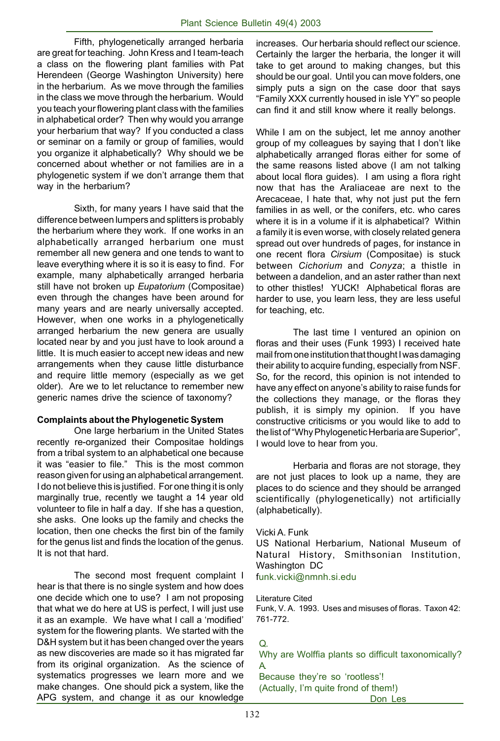Fifth, phylogenetically arranged herbaria are great for teaching. John Kress and I team-teach a class on the flowering plant families with Pat Herendeen (George Washington University) here in the herbarium. As we move through the families in the class we move through the herbarium. Would you teach your flowering plant class with the families in alphabetical order? Then why would you arrange your herbarium that way? If you conducted a class or seminar on a family or group of families, would you organize it alphabetically? Why should we be concerned about whether or not families are in a phylogenetic system if we don't arrange them that way in the herbarium?

Sixth, for many years I have said that the difference between lumpers and splitters is probably the herbarium where they work. If one works in an alphabetically arranged herbarium one must remember all new genera and one tends to want to leave everything where it is so it is easy to find. For example, many alphabetically arranged herbaria still have not broken up *Eupatorium* (Compositae) even through the changes have been around for many years and are nearly universally accepted. However, when one works in a phylogenetically arranged herbarium the new genera are usually located near by and you just have to look around a little. It is much easier to accept new ideas and new arrangements when they cause little disturbance and require little memory (especially as we get older). Are we to let reluctance to remember new generic names drive the science of taxonomy?

#### **Complaints about the Phylogenetic System**

One large herbarium in the United States recently re-organized their Compositae holdings from a tribal system to an alphabetical one because it was "easier to file." This is the most common reason given for using an alphabetical arrangement. I do not believe this is justified. For one thing it is only marginally true, recently we taught a 14 year old volunteer to file in half a day. If she has a question, she asks. One looks up the family and checks the location, then one checks the first bin of the family for the genus list and finds the location of the genus. It is not that hard.

The second most frequent complaint I hear is that there is no single system and how does one decide which one to use? I am not proposing that what we do here at US is perfect, I will just use it as an example. We have what I call a 'modified' system for the flowering plants. We started with the D&H system but it has been changed over the years as new discoveries are made so it has migrated far from its original organization. As the science of systematics progresses we learn more and we make changes. One should pick a system, like the APG system, and change it as our knowledge increases. Our herbaria should reflect our science. Certainly the larger the herbaria, the longer it will take to get around to making changes, but this should be our goal. Until you can move folders, one simply puts a sign on the case door that says "Family XXX currently housed in isle YY" so people can find it and still know where it really belongs.

While I am on the subject, let me annoy another group of my colleagues by saying that I don't like alphabetically arranged floras either for some of the same reasons listed above (I am not talking about local flora guides). I am using a flora right now that has the Araliaceae are next to the Arecaceae, I hate that, why not just put the fern families in as well, or the conifers, etc. who cares where it is in a volume if it is alphabetical? Within a family it is even worse, with closely related genera spread out over hundreds of pages, for instance in one recent flora *Cirsium* (Compositae) is stuck between *Cichorium* and *Conyza*; a thistle in between a dandelion, and an aster rather than next to other thistles! YUCK! Alphabetical floras are harder to use, you learn less, they are less useful for teaching, etc.

The last time I ventured an opinion on floras and their uses (Funk 1993) I received hate mail from one institution that thought I was damaging their ability to acquire funding, especially from NSF. So, for the record, this opinion is not intended to have any effect on anyone's ability to raise funds for the collections they manage, or the floras they publish, it is simply my opinion. If you have constructive criticisms or you would like to add to the list of "Why Phylogenetic Herbaria are Superior", I would love to hear from you.

Herbaria and floras are not storage, they are not just places to look up a name, they are places to do science and they should be arranged scientifically (phylogenetically) not artificially (alphabetically).

#### Vicki A. Funk

US National Herbarium, National Museum of Natural History, Smithsonian Institution, Washington DC

funk.vicki@nmnh.si.edu

Literature Cited

Funk, V. A. 1993. Uses and misuses of floras. Taxon 42: 761-772.

Q. Why are Wolffia plants so difficult taxonomically? A. Because they're so 'rootless'!

Don Les

(Actually, I'm quite frond of them!)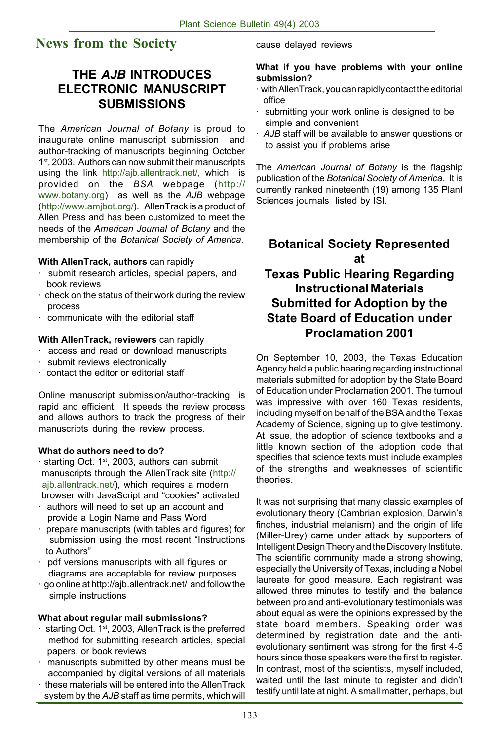# **News from the Society**

## **THE** *AJB* **INTRODUCES ELECTRONIC MANUSCRIPT SUBMISSIONS**

The *American Journal of Botany* is proud to inaugurate online manuscript submission and author-tracking of manuscripts beginning October 1<sup>st</sup>, 2003. Authors can now submit their manuscripts using the link http://ajb.allentrack.net/, which is provided on the *BSA* webpage (http:// www.botany.org) as well as the *AJB* webpage (http://www.amjbot.org/). AllenTrack is a product of Allen Press and has been customized to meet the needs of the *American Journal of Botany* and the membership of the *Botanical Society of America*.

#### **With AllenTrack, authors** can rapidly

- · submit research articles, special papers, and book reviews
- check on the status of their work during the review process
- communicate with the editorial staff
- **With AllenTrack, reviewers** can rapidly
- access and read or download manuscripts
- submit reviews electronically
- · contact the editor or editorial staff

Online manuscript submission/author-tracking is rapid and efficient. It speeds the review process and allows authors to track the progress of their manuscripts during the review process.

#### **What do authors need to do?**

- · starting Oct. 1st, 2003, authors can submit manuscripts through the AllenTrack site (http:// ajb.allentrack.net/), which requires a modern browser with JavaScript and "cookies" activated
- · authors will need to set up an account and provide a Login Name and Pass Word
- · prepare manuscripts (with tables and figures) for submission using the most recent "Instructions to Authors"
- pdf versions manuscripts with all figures or diagrams are acceptable for review purposes
- · go online at http://ajb.allentrack.net/ and follow the simple instructions

#### **What about regular mail submissions?**

- $\cdot$  starting Oct. 1<sup>st</sup>, 2003, AllenTrack is the preferred method for submitting research articles, special papers, or book reviews
- manuscripts submitted by other means must be accompanied by digital versions of all materials
- · these materials will be entered into the AllenTrack system by the *AJB* staff as time permits, which will

cause delayed reviews

#### **What if you have problems with your online submission?**

- · with AllenTrack, you can rapidly contact the editorial office
- · submitting your work online is designed to be simple and convenient
- *· AJB* staff will be available to answer questions or to assist you if problems arise

The *American Journal of Botany* is the flagship publication of the *Botanical Society of America*. It is currently ranked nineteenth (19) among 135 Plant Sciences journals listed by ISI.

## **Botanical Society Represented at Texas Public Hearing Regarding Instructional Materials Submitted for Adoption by the State Board of Education under Proclamation 2001**

On September 10, 2003, the Texas Education Agency held a public hearing regarding instructional materials submitted for adoption by the State Board of Education under Proclamation 2001. The turnout was impressive with over 160 Texas residents, including myself on behalf of the BSA and the Texas Academy of Science, signing up to give testimony. At issue, the adoption of science textbooks and a little known section of the adoption code that specifies that science texts must include examples of the strengths and weaknesses of scientific theories.

It was not surprising that many classic examples of evolutionary theory (Cambrian explosion, Darwin's finches, industrial melanism) and the origin of life (Miller-Urey) came under attack by supporters of Intelligent Design Theory and the Discovery Institute. The scientific community made a strong showing, especially the University of Texas, including a Nobel laureate for good measure. Each registrant was allowed three minutes to testify and the balance between pro and anti-evolutionary testimonials was about equal as were the opinions expressed by the state board members. Speaking order was determined by registration date and the antievolutionary sentiment was strong for the first 4-5 hours since those speakers were the first to register. In contrast, most of the scientists, myself included, waited until the last minute to register and didn't testify until late at night. A small matter, perhaps, but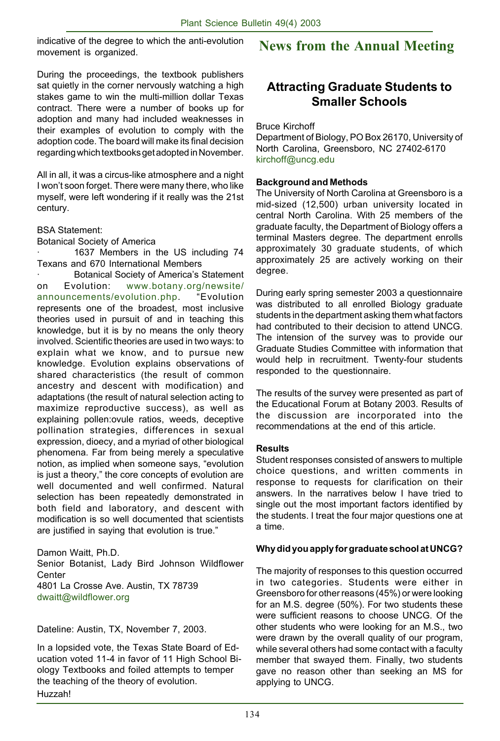indicative of the degree to which the anti-evolution movement is organized.

#### During the proceedings, the textbook publishers sat quietly in the corner nervously watching a high stakes game to win the multi-million dollar Texas contract. There were a number of books up for adoption and many had included weaknesses in their examples of evolution to comply with the adoption code. The board will make its final decision regarding which textbooks get adopted in November.

All in all, it was a circus-like atmosphere and a night I won't soon forget. There were many there, who like myself, were left wondering if it really was the 21st century.

BSA Statement:

Botanical Society of America

1637 Members in the US including 74 Texans and 670 International Members

Botanical Society of America's Statement on Evolution: www.botany.org/newsite/ announcements/evolution.php. "Evolution represents one of the broadest, most inclusive theories used in pursuit of and in teaching this knowledge, but it is by no means the only theory involved. Scientific theories are used in two ways: to explain what we know, and to pursue new knowledge. Evolution explains observations of shared characteristics (the result of common ancestry and descent with modification) and adaptations (the result of natural selection acting to maximize reproductive success), as well as explaining pollen:ovule ratios, weeds, deceptive pollination strategies, differences in sexual expression, dioecy, and a myriad of other biological phenomena. Far from being merely a speculative notion, as implied when someone says, "evolution is just a theory," the core concepts of evolution are well documented and well confirmed. Natural selection has been repeatedly demonstrated in both field and laboratory, and descent with modification is so well documented that scientists are justified in saying that evolution is true."

Damon Waitt, Ph.D. Senior Botanist, Lady Bird Johnson Wildflower **Center** 4801 La Crosse Ave. Austin, TX 78739 dwaitt@wildflower.org

Dateline: Austin, TX, November 7, 2003.

In a lopsided vote, the Texas State Board of Education voted 11-4 in favor of 11 High School Biology Textbooks and foiled attempts to temper the teaching of the theory of evolution. Huzzah!

# **News from the Annual Meeting**

# **Attracting Graduate Students to Smaller Schools**

Bruce Kirchoff

Department of Biology, PO Box 26170, University of North Carolina, Greensboro, NC 27402-6170 kirchoff@uncg.edu

#### **Background and Methods**

The University of North Carolina at Greensboro is a mid-sized (12,500) urban university located in central North Carolina. With 25 members of the graduate faculty, the Department of Biology offers a terminal Masters degree. The department enrolls approximately 30 graduate students, of which approximately 25 are actively working on their degree.

During early spring semester 2003 a questionnaire was distributed to all enrolled Biology graduate students in the department asking them what factors had contributed to their decision to attend UNCG. The intension of the survey was to provide our Graduate Studies Committee with information that would help in recruitment. Twenty-four students responded to the questionnaire.

The results of the survey were presented as part of the Educational Forum at Botany 2003. Results of the discussion are incorporated into the recommendations at the end of this article.

#### **Results**

Student responses consisted of answers to multiple choice questions, and written comments in response to requests for clarification on their answers. In the narratives below I have tried to single out the most important factors identified by the students. I treat the four major questions one at a time.

#### **Why did you apply for graduate school at UNCG?**

The majority of responses to this question occurred in two categories. Students were either in Greensboro for other reasons (45%) or were looking for an M.S. degree (50%). For two students these were sufficient reasons to choose UNCG. Of the other students who were looking for an M.S., two were drawn by the overall quality of our program, while several others had some contact with a faculty member that swayed them. Finally, two students gave no reason other than seeking an MS for applying to UNCG.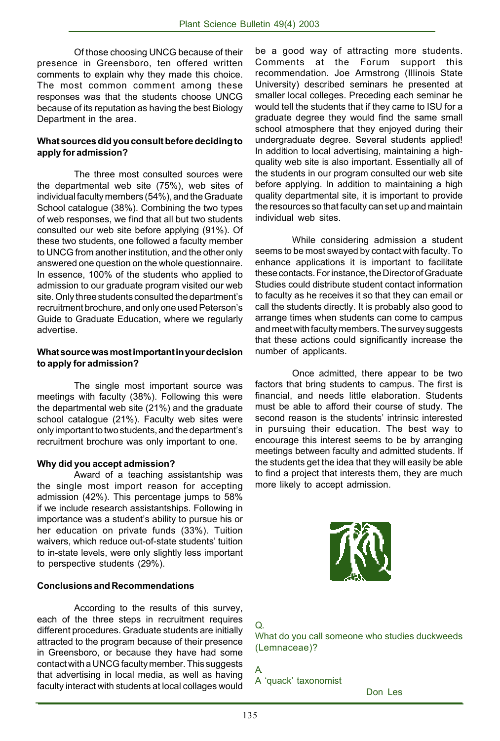Of those choosing UNCG because of their presence in Greensboro, ten offered written comments to explain why they made this choice. The most common comment among these responses was that the students choose UNCG because of its reputation as having the best Biology Department in the area.

#### **What sources did you consult before deciding to apply for admission?**

The three most consulted sources were the departmental web site (75%), web sites of individual faculty members (54%), and the Graduate School catalogue (38%). Combining the two types of web responses, we find that all but two students consulted our web site before applying (91%). Of these two students, one followed a faculty member to UNCG from another institution, and the other only answered one question on the whole questionnaire. In essence, 100% of the students who applied to admission to our graduate program visited our web site. Only three students consulted the department's recruitment brochure, and only one used Peterson's Guide to Graduate Education, where we regularly advertise.

#### **What source was most important in your decision to apply for admission?**

The single most important source was meetings with faculty (38%). Following this were the departmental web site (21%) and the graduate school catalogue (21%). Faculty web sites were only important to two students, and the department's recruitment brochure was only important to one.

#### **Why did you accept admission?**

Award of a teaching assistantship was the single most import reason for accepting admission (42%). This percentage jumps to 58% if we include research assistantships. Following in importance was a student's ability to pursue his or her education on private funds (33%). Tuition waivers, which reduce out-of-state students' tuition to in-state levels, were only slightly less important to perspective students (29%).

#### **Conclusions and Recommendations**

According to the results of this survey, each of the three steps in recruitment requires different procedures. Graduate students are initially attracted to the program because of their presence in Greensboro, or because they have had some contact with a UNCG faculty member. This suggests that advertising in local media, as well as having faculty interact with students at local collages would

be a good way of attracting more students. Comments at the Forum support this recommendation. Joe Armstrong (Illinois State University) described seminars he presented at smaller local colleges. Preceding each seminar he would tell the students that if they came to ISU for a graduate degree they would find the same small school atmosphere that they enjoyed during their undergraduate degree. Several students applied! In addition to local advertising, maintaining a highquality web site is also important. Essentially all of the students in our program consulted our web site before applying. In addition to maintaining a high quality departmental site, it is important to provide the resources so that faculty can set up and maintain individual web sites.

While considering admission a student seems to be most swayed by contact with faculty. To enhance applications it is important to facilitate these contacts. For instance, the Director of Graduate Studies could distribute student contact information to faculty as he receives it so that they can email or call the students directly. It is probably also good to arrange times when students can come to campus and meet with faculty members. The survey suggests that these actions could significantly increase the number of applicants.

Once admitted, there appear to be two factors that bring students to campus. The first is financial, and needs little elaboration. Students must be able to afford their course of study. The second reason is the students' intrinsic interested in pursuing their education. The best way to encourage this interest seems to be by arranging meetings between faculty and admitted students. If the students get the idea that they will easily be able to find a project that interests them, they are much more likely to accept admission.



## Q.

What do you call someone who studies duckweeds (Lemnaceae)?

A. A 'quack' taxonomist

Don Les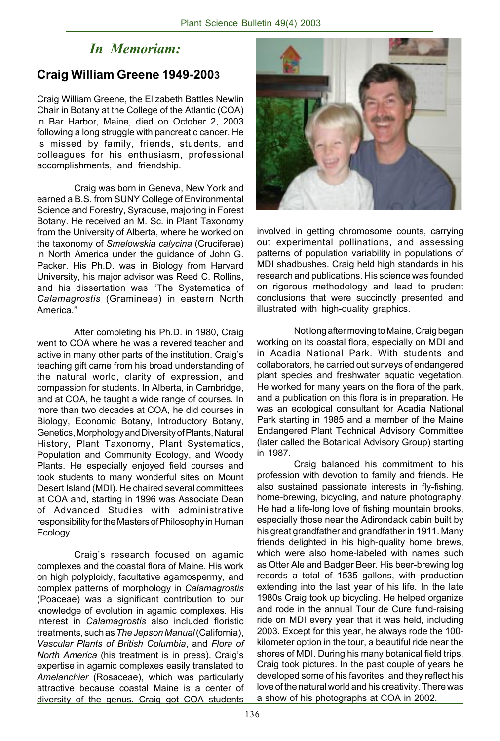# *In Memoriam:*

## **Craig William Greene 1949-2003**

Craig William Greene, the Elizabeth Battles Newlin Chair in Botany at the College of the Atlantic (COA) in Bar Harbor, Maine, died on October 2, 2003 following a long struggle with pancreatic cancer. He is missed by family, friends, students, and colleagues for his enthusiasm, professional accomplishments, and friendship.

Craig was born in Geneva, New York and earned a B.S. from SUNY College of Environmental Science and Forestry, Syracuse, majoring in Forest Botany. He received an M. Sc. in Plant Taxonomy from the University of Alberta, where he worked on the taxonomy of *Smelowskia calycina* (Cruciferae) in North America under the guidance of John G. Packer. His Ph.D. was in Biology from Harvard University, his major advisor was Reed C. Rollins, and his dissertation was "The Systematics of *Calamagrostis* (Gramineae) in eastern North America."

After completing his Ph.D. in 1980, Craig went to COA where he was a revered teacher and active in many other parts of the institution. Craig's teaching gift came from his broad understanding of the natural world, clarity of expression, and compassion for students. In Alberta, in Cambridge, and at COA, he taught a wide range of courses. In more than two decades at COA, he did courses in Biology, Economic Botany, Introductory Botany, Genetics, Morphology and Diversity of Plants, Natural History, Plant Taxonomy, Plant Systematics, Population and Community Ecology, and Woody Plants. He especially enjoyed field courses and took students to many wonderful sites on Mount Desert Island (MDI). He chaired several committees at COA and, starting in 1996 was Associate Dean of Advanced Studies with administrative responsibility for the Masters of Philosophy in Human Ecology.

Craig's research focused on agamic complexes and the coastal flora of Maine. His work on high polyploidy, facultative agamospermy, and complex patterns of morphology in *Calamagrostis* (Poaceae) was a significant contribution to our knowledge of evolution in agamic complexes. His interest in *Calamagrostis* also included floristic treatments, such as *The Jepson Manual* (California), *Vascular Plants of British Columbia*, and *Flora of North America* (his treatment is in press). Craig's expertise in agamic complexes easily translated to *Amelanchier* (Rosaceae), which was particularly attractive because coastal Maine is a center of diversity of the genus. Craig got COA students



involved in getting chromosome counts, carrying out experimental pollinations, and assessing patterns of population variability in populations of MDI shadbushes. Craig held high standards in his research and publications. His science was founded on rigorous methodology and lead to prudent conclusions that were succinctly presented and illustrated with high-quality graphics.

Not long after moving to Maine, Craig began working on its coastal flora, especially on MDI and in Acadia National Park. With students and collaborators, he carried out surveys of endangered plant species and freshwater aquatic vegetation. He worked for many years on the flora of the park, and a publication on this flora is in preparation. He was an ecological consultant for Acadia National Park starting in 1985 and a member of the Maine Endangered Plant Technical Advisory Committee (later called the Botanical Advisory Group) starting in 1987.

Craig balanced his commitment to his profession with devotion to family and friends. He also sustained passionate interests in fly-fishing, home-brewing, bicycling, and nature photography. He had a life-long love of fishing mountain brooks, especially those near the Adirondack cabin built by his great grandfather and grandfather in 1911. Many friends delighted in his high-quality home brews, which were also home-labeled with names such as Otter Ale and Badger Beer. His beer-brewing log records a total of 1535 gallons, with production extending into the last year of his life. In the late 1980s Craig took up bicycling. He helped organize and rode in the annual Tour de Cure fund-raising ride on MDI every year that it was held, including 2003. Except for this year, he always rode the 100 kilometer option in the tour, a beautiful ride near the shores of MDI. During his many botanical field trips, Craig took pictures. In the past couple of years he developed some of his favorites, and they reflect his love of the natural world and his creativity. There was a show of his photographs at COA in 2002.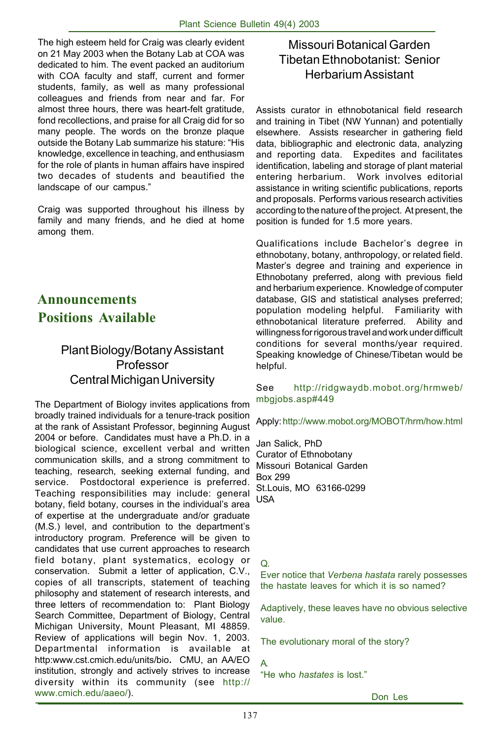The high esteem held for Craig was clearly evident on 21 May 2003 when the Botany Lab at COA was dedicated to him. The event packed an auditorium with COA faculty and staff, current and former students, family, as well as many professional colleagues and friends from near and far. For almost three hours, there was heart-felt gratitude, fond recollections, and praise for all Craig did for so many people. The words on the bronze plaque outside the Botany Lab summarize his stature: "His knowledge, excellence in teaching, and enthusiasm for the role of plants in human affairs have inspired two decades of students and beautified the landscape of our campus."

Craig was supported throughout his illness by family and many friends, and he died at home among them.

# **Positions Available Announcements**

# Plant Biology/Botany Assistant Professor Central Michigan University

The Department of Biology invites applications from broadly trained individuals for a tenure-track position at the rank of Assistant Professor, beginning August 2004 or before. Candidates must have a Ph.D. in a biological science, excellent verbal and written communication skills, and a strong commitment to teaching, research, seeking external funding, and service. Postdoctoral experience is preferred. Teaching responsibilities may include: general botany, field botany, courses in the individual's area of expertise at the undergraduate and/or graduate (M.S.) level, and contribution to the department's introductory program. Preference will be given to candidates that use current approaches to research field botany, plant systematics, ecology or conservation. Submit a letter of application, C.V., copies of all transcripts, statement of teaching philosophy and statement of research interests, and three letters of recommendation to: Plant Biology Search Committee, Department of Biology, Central Michigan University, Mount Pleasant, MI 48859. Review of applications will begin Nov. 1, 2003. Departmental information is available at http:www.cst.cmich.edu/units/bio**.** CMU, an AA/EO institution, strongly and actively strives to increase diversity within its community (see http:// www.cmich.edu/aaeo/).

# Missouri Botanical Garden Tibetan Ethnobotanist: Senior Herbarium Assistant

Assists curator in ethnobotanical field research and training in Tibet (NW Yunnan) and potentially elsewhere. Assists researcher in gathering field data, bibliographic and electronic data, analyzing and reporting data. Expedites and facilitates identification, labeling and storage of plant material entering herbarium. Work involves editorial assistance in writing scientific publications, reports and proposals. Performs various research activities according to the nature of the project. At present, the position is funded for 1.5 more years.

Qualifications include Bachelor's degree in ethnobotany, botany, anthropology, or related field. Master's degree and training and experience in Ethnobotany preferred, along with previous field and herbarium experience. Knowledge of computer database, GIS and statistical analyses preferred; population modeling helpful. Familiarity with ethnobotanical literature preferred. Ability and willingness for rigorous travel and work under difficult conditions for several months/year required. Speaking knowledge of Chinese/Tibetan would be helpful.

#### See http://ridgwaydb.mobot.org/hrmweb/ mbgjobs.asp#449

Apply: http://www.mobot.org/MOBOT/hrm/how.html

Jan Salick, PhD Curator of Ethnobotany Missouri Botanical Garden Box 299 St.Louis, MO 63166-0299 USA

#### $\Omega$

Ever notice that *Verbena hastata* rarely possesses the hastate leaves for which it is so named?

Adaptively, these leaves have no obvious selective value.

The evolutionary moral of the story?

#### A.

"He who *hastates* is lost."

Don Les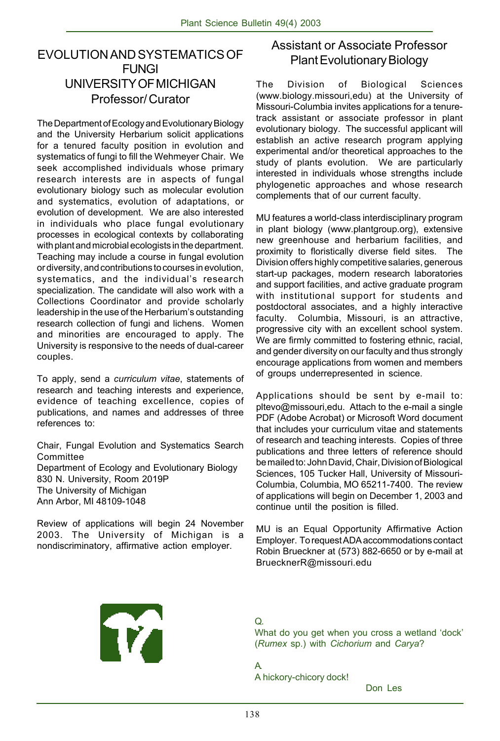## EVOLUTION AND SYSTEMATICS OF FUNGI UNIVERSITY OF MICHIGAN Professor/ Curator

The Department of Ecology and Evolutionary Biology and the University Herbarium solicit applications for a tenured faculty position in evolution and systematics of fungi to fill the Wehmeyer Chair. We seek accomplished individuals whose primary research interests are in aspects of fungal evolutionary biology such as molecular evolution and systematics, evolution of adaptations, or evolution of development. We are also interested in individuals who place fungal evolutionary processes in ecological contexts by collaborating with plant and microbial ecologists in the department. Teaching may include a course in fungal evolution or diversity, and contributions to courses in evolution, systematics, and the individual's research specialization. The candidate will also work with a Collections Coordinator and provide scholarly leadership in the use of the Herbarium's outstanding research collection of fungi and lichens. Women and minorities are encouraged to apply. The University is responsive to the needs of dual-career couples.

To apply, send a *curriculum vitae*, statements of research and teaching interests and experience, evidence of teaching excellence, copies of publications, and names and addresses of three references to:

Chair, Fungal Evolution and Systematics Search Committee Department of Ecology and Evolutionary Biology 830 N. University, Room 2019P The University of Michigan Ann Arbor, MI 48109-1048

Review of applications will begin 24 November 2003. The University of Michigan is a nondiscriminatory, affirmative action employer.

## Assistant or Associate Professor Plant Evolutionary Biology

The Division of Biological Sciences (www.biology.missouri,edu) at the University of Missouri-Columbia invites applications for a tenuretrack assistant or associate professor in plant evolutionary biology. The successful applicant will establish an active research program applying experimental and/or theoretical approaches to the study of plants evolution. We are particularly interested in individuals whose strengths include phylogenetic approaches and whose research complements that of our current faculty.

MU features a world-class interdisciplinary program in plant biology (www.plantgroup.org), extensive new greenhouse and herbarium facilities, and proximity to floristically diverse field sites. The Division offers highly competitive salaries, generous start-up packages, modern research laboratories and support facilities, and active graduate program with institutional support for students and postdoctoral associates, and a highly interactive faculty. Columbia, Missouri, is an attractive, progressive city with an excellent school system. We are firmly committed to fostering ethnic, racial, and gender diversity on our faculty and thus strongly encourage applications from women and members of groups underrepresented in science.

Applications should be sent by e-mail to: pltevo@missouri,edu. Attach to the e-mail a single PDF (Adobe Acrobat) or Microsoft Word document that includes your curriculum vitae and statements of research and teaching interests. Copies of three publications and three letters of reference should be mailed to: John David, Chair, Division of Biological Sciences, 105 Tucker Hall, University of Missouri-Columbia, Columbia, MO 65211-7400. The review of applications will begin on December 1, 2003 and continue until the position is filled.

MU is an Equal Opportunity Affirmative Action Employer. To request ADA accommodations contact Robin Brueckner at (573) 882-6650 or by e-mail at BruecknerR@missouri.edu



Q.

What do you get when you cross a wetland 'dock' (*Rumex* sp.) with *Cichorium* and *Carya*?

A. A hickory-chicory dock!

Don Les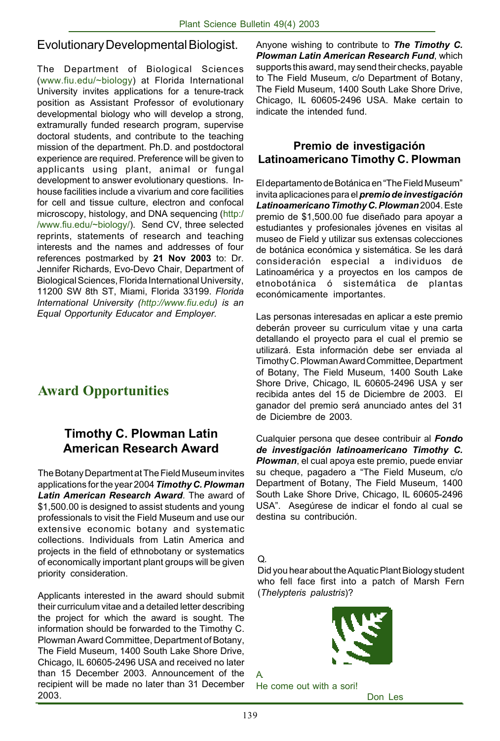## Evolutionary Developmental Biologist.

The Department of Biological Sciences (www.fiu.edu/~biology) at Florida International University invites applications for a tenure-track position as Assistant Professor of evolutionary developmental biology who will develop a strong, extramurally funded research program, supervise doctoral students, and contribute to the teaching mission of the department. Ph.D. and postdoctoral experience are required. Preference will be given to applicants using plant, animal or fungal development to answer evolutionary questions. Inhouse facilities include a vivarium and core facilities for cell and tissue culture, electron and confocal microscopy, histology, and DNA sequencing (http:/ /www.fiu.edu/~biology/). Send CV, three selected reprints, statements of research and teaching interests and the names and addresses of four references postmarked by **21 Nov 2003** to: Dr. Jennifer Richards, Evo-Devo Chair, Department of Biological Sciences, Florida International University, 11200 SW 8th ST, Miami, Florida 33199. *Florida International University (http://www.fiu.edu) is an Equal Opportunity Educator and Employer.*

# **Award Opportunities**

## **Timothy C. Plowman Latin American Research Award**

The Botany Department at The Field Museum invites applications for the year 2004 *Timothy C. Plowman Latin American Research Award*. The award of \$1,500.00 is designed to assist students and young professionals to visit the Field Museum and use our extensive economic botany and systematic collections. Individuals from Latin America and projects in the field of ethnobotany or systematics of economically important plant groups will be given priority consideration.

Applicants interested in the award should submit their curriculum vitae and a detailed letter describing the project for which the award is sought. The information should be forwarded to the Timothy C. Plowman Award Committee, Department of Botany, The Field Museum, 1400 South Lake Shore Drive, Chicago, IL 60605-2496 USA and received no later than 15 December 2003. Announcement of the recipient will be made no later than 31 December 2003.

Anyone wishing to contribute to *The Timothy C. Plowman Latin American Research Fund*, which supports this award, may send their checks, payable to The Field Museum, c/o Department of Botany, The Field Museum, 1400 South Lake Shore Drive, Chicago, IL 60605-2496 USA. Make certain to indicate the intended fund.

## **Premio de investigación Latinoamericano Timothy C. Plowman**

El departamento de Botánica en "The Field Museum" invita aplicaciones para el *premio de investigación Latinoamericano Timothy C. Plowman* 2004. Este premio de \$1,500.00 fue diseñado para apoyar a estudiantes y profesionales jóvenes en visitas al museo de Field y utilizar sus extensas colecciones de botánica económica y sistemática. Se les dará consideración especial a individuos de Latinoamérica y a proyectos en los campos de etnobotánica ó sistemática de plantas económicamente importantes.

Las personas interesadas en aplicar a este premio deberán proveer su curriculum vitae y una carta detallando el proyecto para el cual el premio se utilizará. Esta información debe ser enviada al Timothy C. Plowman Award Committee, Department of Botany, The Field Museum, 1400 South Lake Shore Drive, Chicago, IL 60605-2496 USA y ser recibida antes del 15 de Diciembre de 2003. El ganador del premio será anunciado antes del 31 de Diciembre de 2003.

Cualquier persona que desee contribuir al *Fondo de investigación latinoamericano Timothy C. Plowman*, el cual apoya este premio, puede enviar su cheque, pagadero a "The Field Museum, c/o Department of Botany, The Field Museum, 1400 South Lake Shore Drive, Chicago, IL 60605-2496 USA". Asegúrese de indicar el fondo al cual se destina su contribución.

Q.

Did you hear about the Aquatic Plant Biology student who fell face first into a patch of Marsh Fern (*Thelypteris palustris*)?



He come out with a sori!

Don Les

 $\Delta$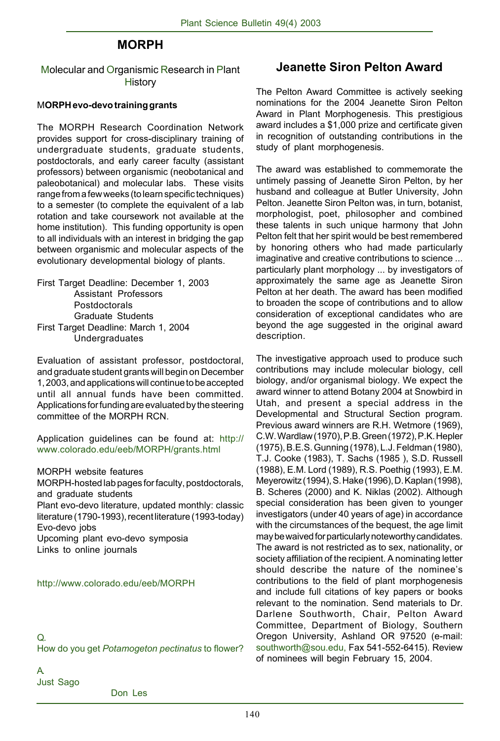## **MORPH**

Molecular and Organismic Research in Plant **History** 

### M**ORPH evo-devo training grants**

The MORPH Research Coordination Network provides support for cross-disciplinary training of undergraduate students, graduate students, postdoctorals, and early career faculty (assistant professors) between organismic (neobotanical and paleobotanical) and molecular labs. These visits range from a few weeks (to learn specific techniques) to a semester (to complete the equivalent of a lab rotation and take coursework not available at the home institution). This funding opportunity is open to all individuals with an interest in bridging the gap between organismic and molecular aspects of the evolutionary developmental biology of plants.

First Target Deadline: December 1, 2003 Assistant Professors Postdoctorals Graduate Students First Target Deadline: March 1, 2004 Undergraduates

Evaluation of assistant professor, postdoctoral, and graduate student grants will begin on December 1, 2003, and applications will continue to be accepted until all annual funds have been committed. Applications for funding are evaluated by the steering committee of the MORPH RCN.

Application guidelines can be found at: http:// www.colorado.edu/eeb/MORPH/grants.html

MORPH website features

MORPH-hosted lab pages for faculty, postdoctorals, and graduate students Plant evo-devo literature, updated monthly: classic literature (1790-1993), recent literature (1993-today) Evo-devo jobs Upcoming plant evo-devo symposia Links to online journals

#### http://www.colorado.edu/eeb/MORPH

Q.

How do you get *Potamogeton pectinatus* to flower?

## **Jeanette Siron Pelton Award**

The Pelton Award Committee is actively seeking nominations for the 2004 Jeanette Siron Pelton Award in Plant Morphogenesis. This prestigious award includes a \$1,000 prize and certificate given in recognition of outstanding contributions in the study of plant morphogenesis.

The award was established to commemorate the untimely passing of Jeanette Siron Pelton, by her husband and colleague at Butler University, John Pelton. Jeanette Siron Pelton was, in turn, botanist, morphologist, poet, philosopher and combined these talents in such unique harmony that John Pelton felt that her spirit would be best remembered by honoring others who had made particularly imaginative and creative contributions to science ... particularly plant morphology ... by investigators of approximately the same age as Jeanette Siron Pelton at her death. The award has been modified to broaden the scope of contributions and to allow consideration of exceptional candidates who are beyond the age suggested in the original award description.

The investigative approach used to produce such contributions may include molecular biology, cell biology, and/or organismal biology. We expect the award winner to attend Botany 2004 at Snowbird in Utah, and present a special address in the Developmental and Structural Section program. Previous award winners are R.H. Wetmore (1969), C.W. Wardlaw (1970), P.B. Green (1972), P.K. Hepler (1975), B.E.S. Gunning (1978), L.J. Feldman (1980), T.J. Cooke (1983), T. Sachs (1985 ), S.D. Russell (1988), E.M. Lord (1989), R.S. Poethig (1993), E.M. Meyerowitz (1994), S. Hake (1996), D. Kaplan (1998), B. Scheres (2000) and K. Niklas (2002). Although special consideration has been given to younger investigators (under 40 years of age) in accordance with the circumstances of the bequest, the age limit may be waived for particularly noteworthy candidates. The award is not restricted as to sex, nationality, or society affiliation of the recipient. A nominating letter should describe the nature of the nominee's contributions to the field of plant morphogenesis and include full citations of key papers or books relevant to the nomination. Send materials to Dr. Darlene Southworth, Chair, Pelton Award Committee, Department of Biology, Southern Oregon University, Ashland OR 97520 (e-mail: southworth@sou.edu, Fax 541-552-6415). Review of nominees will begin February 15, 2004.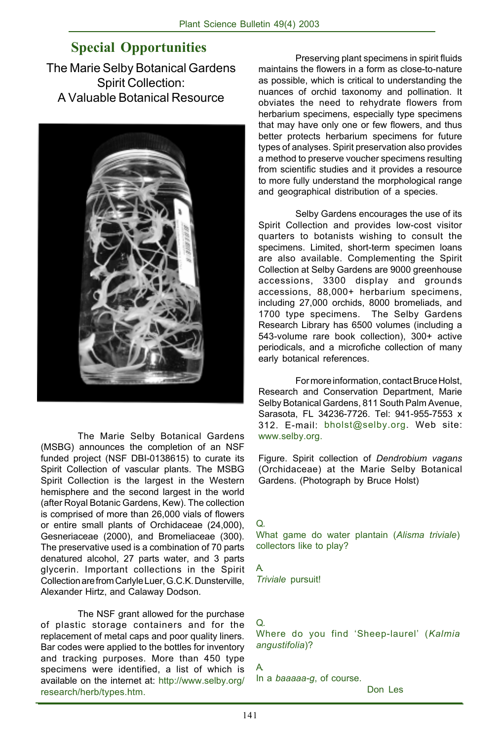# **Special Opportunities**

The Marie Selby Botanical Gardens Spirit Collection: A Valuable Botanical Resource



The Marie Selby Botanical Gardens (MSBG) announces the completion of an NSF funded project (NSF DBI-0138615) to curate its Spirit Collection of vascular plants. The MSBG Spirit Collection is the largest in the Western hemisphere and the second largest in the world (after Royal Botanic Gardens, Kew). The collection is comprised of more than 26,000 vials of flowers or entire small plants of Orchidaceae (24,000), Gesneriaceae (2000), and Bromeliaceae (300). The preservative used is a combination of 70 parts denatured alcohol, 27 parts water, and 3 parts glycerin. Important collections in the Spirit Collection are from Carlyle Luer, G.C.K. Dunsterville, Alexander Hirtz, and Calaway Dodson.

The NSF grant allowed for the purchase of plastic storage containers and for the replacement of metal caps and poor quality liners. Bar codes were applied to the bottles for inventory and tracking purposes. More than 450 type specimens were identified, a list of which is available on the internet at: http://www.selby.org/ research/herb/types.htm.

Preserving plant specimens in spirit fluids maintains the flowers in a form as close-to-nature as possible, which is critical to understanding the nuances of orchid taxonomy and pollination. It obviates the need to rehydrate flowers from herbarium specimens, especially type specimens that may have only one or few flowers, and thus better protects herbarium specimens for future types of analyses. Spirit preservation also provides a method to preserve voucher specimens resulting from scientific studies and it provides a resource to more fully understand the morphological range and geographical distribution of a species.

Selby Gardens encourages the use of its Spirit Collection and provides low-cost visitor quarters to botanists wishing to consult the specimens. Limited, short-term specimen loans are also available. Complementing the Spirit Collection at Selby Gardens are 9000 greenhouse accessions, 3300 display and grounds accessions, 88,000+ herbarium specimens, including 27,000 orchids, 8000 bromeliads, and 1700 type specimens. The Selby Gardens Research Library has 6500 volumes (including a 543-volume rare book collection), 300+ active periodicals, and a microfiche collection of many early botanical references.

For more information, contact Bruce Holst, Research and Conservation Department, Marie Selby Botanical Gardens, 811 South Palm Avenue, Sarasota, FL 34236-7726. Tel: 941-955-7553 x 312. E-mail: bholst@selby.org. Web site: www.selby.org.

Figure. Spirit collection of *Dendrobium vagans* (Orchidaceae) at the Marie Selby Botanical Gardens. (Photograph by Bruce Holst)

Q. What game do water plantain (*Alisma triviale*) collectors like to play?

A. *Triviale* pursuit!

## Q.

Where do you find 'Sheep-laurel' (*Kalmia angustifolia*)?

A.

In a *baaaaa-g*, of course.

Don Les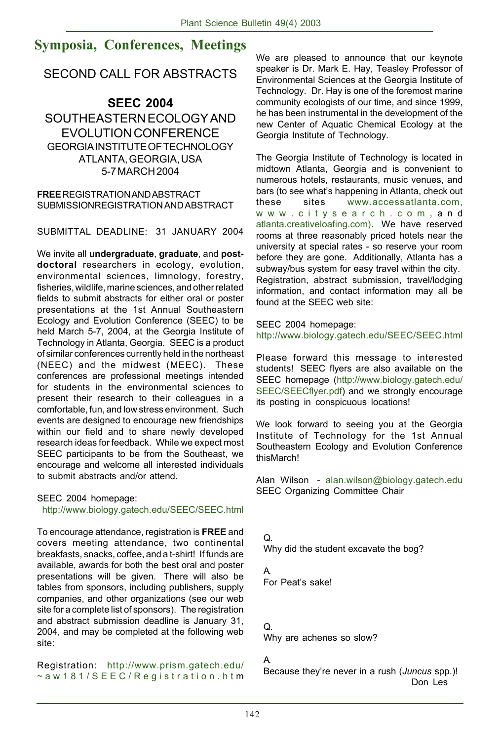# **Symposia, Conferences, Meetings**

## SECOND CALL FOR ABSTRACTS

## **SEEC 2004** SOUTHEASTERN ECOLOGY AND EVOLUTION CONFERENCE GEORGIA INSTITUTE OF TECHNOLOGY ATLANTA, GEORGIA, USA 5-7 MARCH 2004

**FREE** REGISTRATION AND ABSTRACT SUBMISSIONREGISTRATION AND ABSTRACT

SUBMITTAL DEADLINE: 31 JANUARY 2004

We invite all **undergraduate**, **graduate**, and **postdoctoral** researchers in ecology, evolution, environmental sciences, limnology, forestry, fisheries, wildlife, marine sciences, and other related fields to submit abstracts for either oral or poster presentations at the 1st Annual Southeastern Ecology and Evolution Conference (SEEC) to be held March 5-7, 2004, at the Georgia Institute of Technology in Atlanta, Georgia. SEEC is a product of similar conferences currently held in the northeast (NEEC) and the midwest (MEEC). These conferences are professional meetings intended for students in the environmental sciences to present their research to their colleagues in a comfortable, fun, and low stress environment. Such events are designed to encourage new friendships within our field and to share newly developed research ideas for feedback. While we expect most SEEC participants to be from the Southeast, we encourage and welcome all interested individuals to submit abstracts and/or attend.

SEEC 2004 homepage: http://www.biology.gatech.edu/SEEC/SEEC.html

To encourage attendance, registration is **FREE** and covers meeting attendance, two continental breakfasts, snacks, coffee, and a t-shirt! If funds are available, awards for both the best oral and poster presentations will be given. There will also be tables from sponsors, including publishers, supply companies, and other organizations (see our web site for a complete list of sponsors). The registration and abstract submission deadline is January 31, 2004, and may be completed at the following web site:

Registration: http://www.prism.gatech.edu/ ~aw181/SEEC/Registration.htm We are pleased to announce that our keynote speaker is Dr. Mark E. Hay, Teasley Professor of Environmental Sciences at the Georgia Institute of Technology. Dr. Hay is one of the foremost marine community ecologists of our time, and since 1999, he has been instrumental in the development of the new Center of Aquatic Chemical Ecology at the Georgia Institute of Technology.

The Georgia Institute of Technology is located in midtown Atlanta, Georgia and is convenient to numerous hotels, restaurants, music venues, and bars (to see what's happening in Atlanta, check out these sites www.accessatlanta.com, www.citysearch.com ,and atlanta.creativeloafing.com). We have reserved rooms at three reasonably priced hotels near the university at special rates - so reserve your room before they are gone. Additionally, Atlanta has a subway/bus system for easy travel within the city. Registration, abstract submission, travel/lodging information, and contact information may all be found at the SEEC web site:

SEEC 2004 homepage:

http://www.biology.gatech.edu/SEEC/SEEC.html

Please forward this message to interested students! SEEC flyers are also available on the SEEC homepage (http://www.biology.gatech.edu/ SEEC/SEECflyer.pdf) and we strongly encourage its posting in conspicuous locations!

We look forward to seeing you at the Georgia Institute of Technology for the 1st Annual Southeastern Ecology and Evolution Conference thisMarch!

Alan Wilson - alan.wilson@biology.gatech.edu SEEC Organizing Committee Chair

Q. Why did the student excavate the bog?

A. For Peat's sake!

#### Q.

Why are achenes so slow?

## A.

Because they're never in a rush (*Juncus* spp.)! Don Les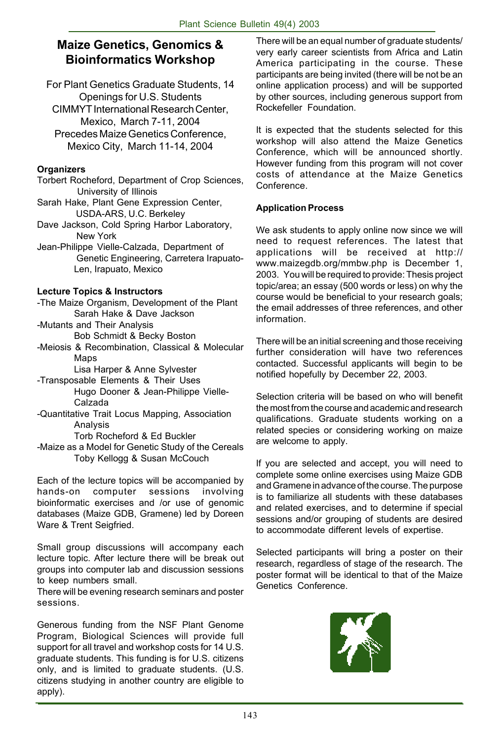## **Maize Genetics, Genomics & Bioinformatics Workshop**

For Plant Genetics Graduate Students, 14 Openings for U.S. Students CIMMYT International Research Center, Mexico, March 7-11, 2004 Precedes Maize Genetics Conference, Mexico City, March 11-14, 2004

## **Organizers**

- Torbert Rocheford, Department of Crop Sciences, University of Illinois
- Sarah Hake, Plant Gene Expression Center, USDA-ARS, U.C. Berkeley
- Dave Jackson, Cold Spring Harbor Laboratory, New York
- Jean-Philippe Vielle-Calzada, Department of Genetic Engineering, Carretera Irapuato-Len, Irapuato, Mexico

## **Lecture Topics & Instructors**

- -The Maize Organism, Development of the Plant Sarah Hake & Dave Jackson
- -Mutants and Their Analysis
- Bob Schmidt & Becky Boston -Meiosis & Recombination, Classical & Molecular
	- Maps
		- Lisa Harper & Anne Sylvester
- -Transposable Elements & Their Uses
	- Hugo Dooner & Jean-Philippe Vielle-Calzada
- -Quantitative Trait Locus Mapping, Association Analysis
	- Torb Rocheford & Ed Buckler
- -Maize as a Model for Genetic Study of the Cereals Toby Kellogg & Susan McCouch

Each of the lecture topics will be accompanied by hands-on computer sessions involving bioinformatic exercises and /or use of genomic databases (Maize GDB, Gramene) led by Doreen Ware & Trent Seigfried.

Small group discussions will accompany each lecture topic. After lecture there will be break out groups into computer lab and discussion sessions to keep numbers small.

There will be evening research seminars and poster sessions.

Generous funding from the NSF Plant Genome Program, Biological Sciences will provide full support for all travel and workshop costs for 14 U.S. graduate students. This funding is for U.S. citizens only, and is limited to graduate students. (U.S. citizens studying in another country are eligible to apply).

There will be an equal number of graduate students/ very early career scientists from Africa and Latin America participating in the course. These participants are being invited (there will be not be an online application process) and will be supported by other sources, including generous support from Rockefeller Foundation.

It is expected that the students selected for this workshop will also attend the Maize Genetics Conference, which will be announced shortly. However funding from this program will not cover costs of attendance at the Maize Genetics Conference.

## **Application Process**

We ask students to apply online now since we will need to request references. The latest that applications will be received at http:// www.maizegdb.org/mmbw.php is December 1, 2003. You will be required to provide: Thesis project topic/area; an essay (500 words or less) on why the course would be beneficial to your research goals; the email addresses of three references, and other information.

There will be an initial screening and those receiving further consideration will have two references contacted. Successful applicants will begin to be notified hopefully by December 22, 2003.

Selection criteria will be based on who will benefit the most from the course and academic and research qualifications. Graduate students working on a related species or considering working on maize are welcome to apply.

If you are selected and accept, you will need to complete some online exercises using Maize GDB and Gramene in advance of the course. The purpose is to familiarize all students with these databases and related exercises, and to determine if special sessions and/or grouping of students are desired to accommodate different levels of expertise.

Selected participants will bring a poster on their research, regardless of stage of the research. The poster format will be identical to that of the Maize Genetics Conference.

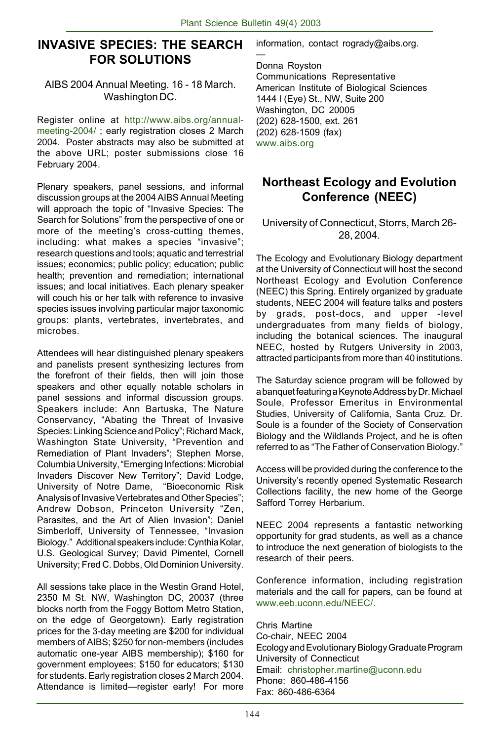—

## **INVASIVE SPECIES: THE SEARCH FOR SOLUTIONS**

## AIBS 2004 Annual Meeting. 16 - 18 March. Washington DC.

Register online at http://www.aibs.org/annualmeeting-2004/ ; early registration closes 2 March 2004. Poster abstracts may also be submitted at the above URL; poster submissions close 16 February 2004.

Plenary speakers, panel sessions, and informal discussion groups at the 2004 AIBS Annual Meeting will approach the topic of "Invasive Species: The Search for Solutions" from the perspective of one or more of the meeting's cross-cutting themes, including: what makes a species "invasive"; research questions and tools; aquatic and terrestrial issues; economics; public policy; education; public health; prevention and remediation; international issues; and local initiatives. Each plenary speaker will couch his or her talk with reference to invasive species issues involving particular major taxonomic groups: plants, vertebrates, invertebrates, and microbes.

Attendees will hear distinguished plenary speakers and panelists present synthesizing lectures from the forefront of their fields, then will join those speakers and other equally notable scholars in panel sessions and informal discussion groups. Speakers include: Ann Bartuska, The Nature Conservancy, "Abating the Threat of Invasive Species: Linking Science and Policy"; Richard Mack, Washington State University, "Prevention and Remediation of Plant Invaders"; Stephen Morse, Columbia University, "Emerging Infections: Microbial Invaders Discover New Territory"; David Lodge, University of Notre Dame, "Bioeconomic Risk Analysis of Invasive Vertebrates and Other Species"; Andrew Dobson, Princeton University "Zen, Parasites, and the Art of Alien Invasion"; Daniel Simberloff, University of Tennessee, "Invasion Biology." Additional speakers include: Cynthia Kolar, U.S. Geological Survey; David Pimentel, Cornell University; Fred C. Dobbs, Old Dominion University.

All sessions take place in the Westin Grand Hotel, 2350 M St. NW, Washington DC, 20037 (three blocks north from the Foggy Bottom Metro Station, on the edge of Georgetown). Early registration prices for the 3-day meeting are \$200 for individual members of AIBS; \$250 for non-members (includes automatic one-year AIBS membership); \$160 for government employees; \$150 for educators; \$130 for students. Early registration closes 2 March 2004. Attendance is limited—register early! For more

information, contact rogrady@aibs.org.

Donna Royston Communications Representative American Institute of Biological Sciences 1444 I (Eye) St., NW, Suite 200 Washington, DC 20005 (202) 628-1500, ext. 261 (202) 628-1509 (fax) www.aibs.org

## **Northeast Ecology and Evolution Conference (NEEC)**

## University of Connecticut, Storrs, March 26- 28, 2004.

The Ecology and Evolutionary Biology department at the University of Connecticut will host the second Northeast Ecology and Evolution Conference (NEEC) this Spring. Entirely organized by graduate students, NEEC 2004 will feature talks and posters by grads, post-docs, and upper -level undergraduates from many fields of biology, including the botanical sciences. The inaugural NEEC, hosted by Rutgers University in 2003, attracted participants from more than 40 institutions.

The Saturday science program will be followed by a banquet featuring a Keynote Address by Dr. Michael Soule, Professor Emeritus in Environmental Studies, University of California, Santa Cruz. Dr. Soule is a founder of the Society of Conservation Biology and the Wildlands Project, and he is often referred to as "The Father of Conservation Biology."

Access will be provided during the conference to the University's recently opened Systematic Research Collections facility, the new home of the George Safford Torrey Herbarium.

NEEC 2004 represents a fantastic networking opportunity for grad students, as well as a chance to introduce the next generation of biologists to the research of their peers.

Conference information, including registration materials and the call for papers, can be found at www.eeb.uconn.edu/NEEC/

Chris Martine Co-chair, NEEC 2004 Ecology and Evolutionary Biology Graduate Program University of Connecticut Email: christopher.martine@uconn.edu Phone: 860-486-4156 Fax: 860-486-6364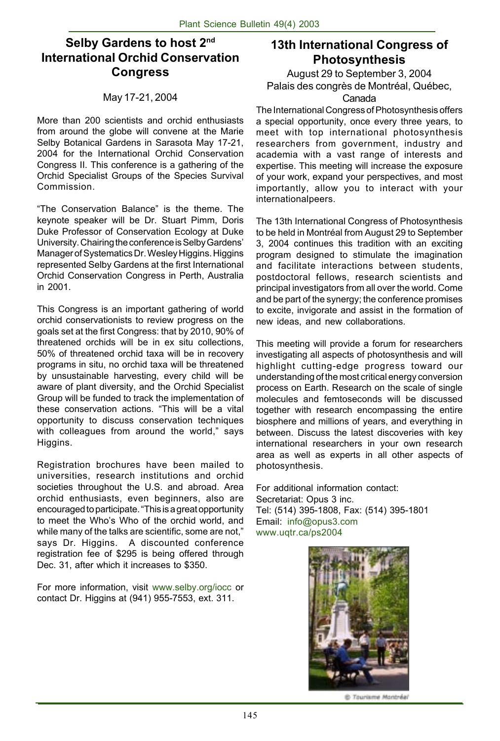## **Selby Gardens to host 2nd International Orchid Conservation Congress**

## May 17-21, 2004

More than 200 scientists and orchid enthusiasts from around the globe will convene at the Marie Selby Botanical Gardens in Sarasota May 17-21, 2004 for the International Orchid Conservation Congress II. This conference is a gathering of the Orchid Specialist Groups of the Species Survival Commission.

"The Conservation Balance" is the theme. The keynote speaker will be Dr. Stuart Pimm, Doris Duke Professor of Conservation Ecology at Duke University. Chairing the conference is Selby Gardens' Manager of Systematics Dr. Wesley Higgins. Higgins represented Selby Gardens at the first International Orchid Conservation Congress in Perth, Australia in 2001.

This Congress is an important gathering of world orchid conservationists to review progress on the goals set at the first Congress: that by 2010, 90% of threatened orchids will be in ex situ collections, 50% of threatened orchid taxa will be in recovery programs in situ, no orchid taxa will be threatened by unsustainable harvesting, every child will be aware of plant diversity, and the Orchid Specialist Group will be funded to track the implementation of these conservation actions. "This will be a vital opportunity to discuss conservation techniques with colleagues from around the world," says Higgins.

Registration brochures have been mailed to universities, research institutions and orchid societies throughout the U.S. and abroad. Area orchid enthusiasts, even beginners, also are encouraged to participate. "This is a great opportunity to meet the Who's Who of the orchid world, and while many of the talks are scientific, some are not," says Dr. Higgins. A discounted conference registration fee of \$295 is being offered through Dec. 31, after which it increases to \$350.

For more information, visit www.selby.org/iocc or contact Dr. Higgins at (941) 955-7553, ext. 311.

## **13th International Congress of Photosynthesis**

August 29 to September 3, 2004 Palais des congrès de Montréal, Québec, Canada

The International Congress of Photosynthesis offers a special opportunity, once every three years, to meet with top international photosynthesis researchers from government, industry and academia with a vast range of interests and expertise. This meeting will increase the exposure of your work, expand your perspectives, and most importantly, allow you to interact with your internationalpeers.

The 13th International Congress of Photosynthesis to be held in Montréal from August 29 to September 3, 2004 continues this tradition with an exciting program designed to stimulate the imagination and facilitate interactions between students, postdoctoral fellows, research scientists and principal investigators from all over the world. Come and be part of the synergy; the conference promises to excite, invigorate and assist in the formation of new ideas, and new collaborations.

This meeting will provide a forum for researchers investigating all aspects of photosynthesis and will highlight cutting-edge progress toward our understanding of the most critical energy conversion process on Earth. Research on the scale of single molecules and femtoseconds will be discussed together with research encompassing the entire biosphere and millions of years, and everything in between. Discuss the latest discoveries with key international researchers in your own research area as well as experts in all other aspects of photosynthesis.

For additional information contact: Secretariat: Opus 3 inc. Tel: (514) 395-1808, Fax: (514) 395-1801 Email: info@opus3.com www.uqtr.ca/ps2004



@ Tourisme Montréal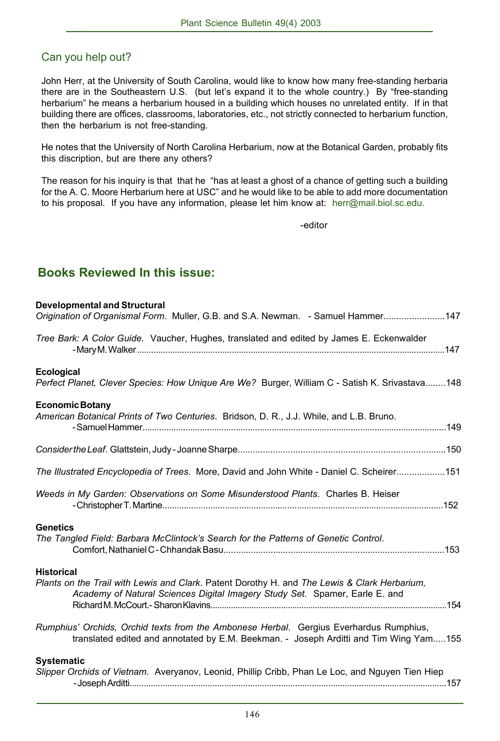## Can you help out?

John Herr, at the University of South Carolina, would like to know how many free-standing herbaria there are in the Southeastern U.S. (but let's expand it to the whole country.) By "free-standing herbarium" he means a herbarium housed in a building which houses no unrelated entity. If in that building there are offices, classrooms, laboratories, etc., not strictly connected to herbarium function, then the herbarium is not free-standing.

He notes that the University of North Carolina Herbarium, now at the Botanical Garden, probably fits this discription, but are there any others?

The reason for his inquiry is that that he "has at least a ghost of a chance of getting such a building for the A. C. Moore Herbarium here at USC" and he would like to be able to add more documentation to his proposal. If you have any information, please let him know at: herr@mail.biol.sc.edu.

-editor

## **Books Reviewed In this issue:**

| <b>Developmental and Structural</b><br>Origination of Organismal Form. Muller, G.B. and S.A. Newman. - Samuel Hammer147                                                                          |  |
|--------------------------------------------------------------------------------------------------------------------------------------------------------------------------------------------------|--|
| Tree Bark: A Color Guide. Vaucher, Hughes, translated and edited by James E. Eckenwalder                                                                                                         |  |
| <b>Ecological</b><br>Perfect Planet, Clever Species: How Unique Are We? Burger, William C - Satish K. Srivastava148                                                                              |  |
| <b>Economic Botany</b><br>American Botanical Prints of Two Centuries. Bridson, D. R., J.J. While, and L.B. Bruno.                                                                                |  |
|                                                                                                                                                                                                  |  |
| The Illustrated Encyclopedia of Trees. More, David and John White - Daniel C. Scheirer151                                                                                                        |  |
| Weeds in My Garden: Observations on Some Misunderstood Plants. Charles B. Heiser                                                                                                                 |  |
| <b>Genetics</b><br>The Tangled Field: Barbara McClintock's Search for the Patterns of Genetic Control.                                                                                           |  |
| <b>Historical</b><br>Plants on the Trail with Lewis and Clark. Patent Dorothy H. and The Lewis & Clark Herbarium,<br>Academy of Natural Sciences Digital Imagery Study Set. Spamer, Earle E. and |  |
| Rumphius' Orchids, Orchid texts from the Ambonese Herbal. Gergius Everhardus Rumphius,<br>translated edited and annotated by E.M. Beekman. - Joseph Arditti and Tim Wing Yam155                  |  |
| <b>Systematic</b><br>Slipper Orchids of Vietnam. Averyanov, Leonid, Phillip Cribb, Phan Le Loc, and Nguyen Tien Hiep                                                                             |  |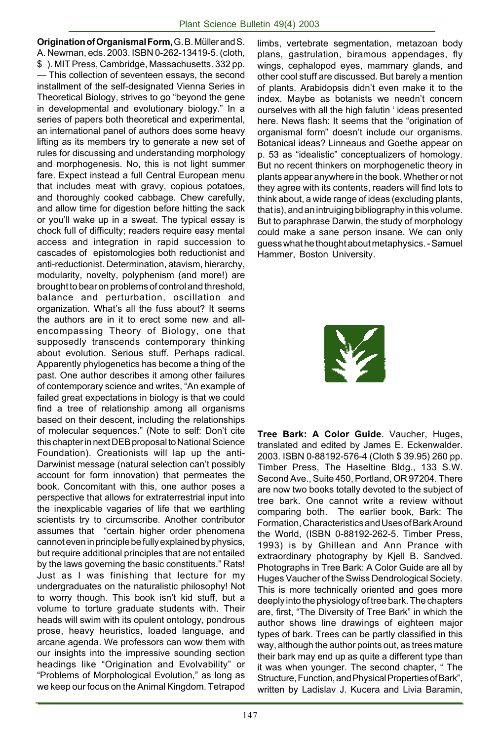**Origination of Organismal Form,** G. B. Müller and S. A. Newman, eds. 2003. ISBN 0-262-13419-5. (cloth, \$ ). MIT Press, Cambridge, Massachusetts. 332 pp. — This collection of seventeen essays, the second installment of the self-designated Vienna Series in Theoretical Biology, strives to go "beyond the gene in developmental and evolutionary biology." In a series of papers both theoretical and experimental, an international panel of authors does some heavy lifting as its members try to generate a new set of rules for discussing and understanding morphology and morphogenesis. No, this is not light summer fare. Expect instead a full Central European menu that includes meat with gravy, copious potatoes, and thoroughly cooked cabbage. Chew carefully, and allow time for digestion before hitting the sack or you'll wake up in a sweat. The typical essay is chock full of difficulty; readers require easy mental access and integration in rapid succession to cascades of epistomologies both reductionist and anti-reductionist. Determination, atavism, hierarchy, modularity, novelty, polyphenism (and more!) are brought to bear on problems of control and threshold, balance and perturbation, oscillation and organization. What's all the fuss about? It seems the authors are in it to erect some new and allencompassing Theory of Biology, one that supposedly transcends contemporary thinking about evolution. Serious stuff. Perhaps radical. Apparently phylogenetics has become a thing of the past. One author describes it among other failures of contemporary science and writes, "An example of failed great expectations in biology is that we could find a tree of relationship among all organisms based on their descent, including the relationships of molecular sequences." (Note to self: Don't cite this chapter in next DEB proposal to National Science Foundation). Creationists will lap up the anti-Darwinist message (natural selection can't possibly account for form innovation) that permeates the book. Concomitant with this, one author poses a perspective that allows for extraterrestrial input into the inexplicable vagaries of life that we earthling scientists try to circumscribe. Another contributor assumes that "certain higher order phenomena cannot even in principle be fully explained by physics, but require additional principles that are not entailed by the laws governing the basic constituents." Rats! Just as I was finishing that lecture for my undergraduates on the naturalistic philosophy! Not to worry though. This book isn't kid stuff, but a volume to torture graduate students with. Their heads will swim with its opulent ontology, pondrous prose, heavy heuristics, loaded language, and arcane agenda. We professors can wow them with our insights into the impressive sounding section headings like "Origination and Evolvability" or "Problems of Morphological Evolution," as long as we keep our focus on the Animal Kingdom. Tetrapod

limbs, vertebrate segmentation, metazoan body plans, gastrulation, biramous appendages, fly wings, cephalopod eyes, mammary glands, and other cool stuff are discussed. But barely a mention of plants. Arabidopsis didn't even make it to the index. Maybe as botanists we needn't concern ourselves with all the high falutin ' ideas presented here. News flash: It seems that the "origination of organismal form" doesn't include our organisms. Botanical ideas? Linneaus and Goethe appear on p. 53 as "idealistic" conceptualizers of homology. But no recent thinkers on morphogenetic theory in plants appear anywhere in the book. Whether or not they agree with its contents, readers will find lots to think about, a wide range of ideas (excluding plants, that is), and an intruiging bibliography in this volume. But to paraphrase Darwin, the study of morphology could make a sane person insane. We can only guess what he thought about metaphysics. - Samuel Hammer, Boston University.



**Tree Bark: A Color Guide**. Vaucher, Huges, translated and edited by James E. Eckenwalder. 2003. ISBN 0-88192-576-4 (Cloth \$ 39.95) 260 pp. Timber Press, The Haseltine Bldg., 133 S.W. Second Ave., Suite 450, Portland, OR 97204. There are now two books totally devoted to the subject of tree bark. One cannot write a review without comparing both. The earlier book, Bark: The Formation, Characteristics and Uses of Bark Around the World, (ISBN 0-88192-262-5. Timber Press, 1993) is by Ghillean and Ann Prance with extraordinary photography by Kjell B. Sandved. Photographs in Tree Bark: A Color Guide are all by Huges Vaucher of the Swiss Dendrological Society. This is more technically oriented and goes more deeply into the physiology of tree bark. The chapters are, first, "The Diversity of Tree Bark" in which the author shows line drawings of eighteen major types of bark. Trees can be partly classified in this way, although the author points out, as trees mature their bark may end up as quite a different type than it was when younger. The second chapter, " The Structure, Function, and Physical Properties of Bark", written by Ladislav J. Kucera and Livia Baramin,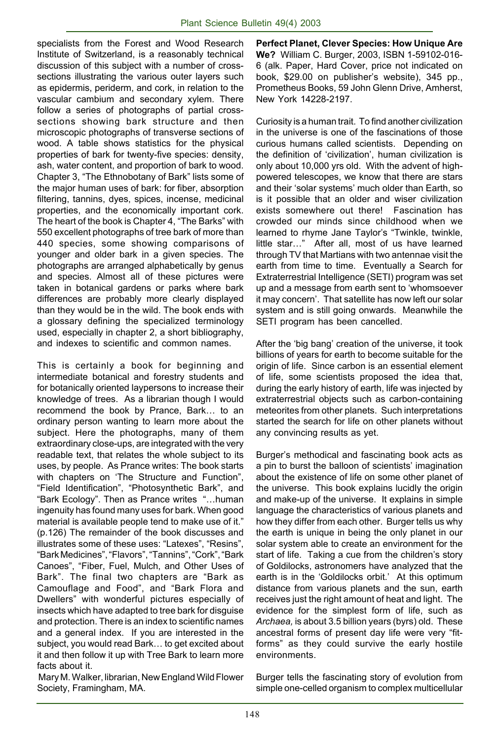specialists from the Forest and Wood Research Institute of Switzerland, is a reasonably technical discussion of this subject with a number of crosssections illustrating the various outer layers such as epidermis, periderm, and cork, in relation to the vascular cambium and secondary xylem. There follow a series of photographs of partial crosssections showing bark structure and then microscopic photographs of transverse sections of wood. A table shows statistics for the physical properties of bark for twenty-five species: density, ash, water content, and proportion of bark to wood. Chapter 3, "The Ethnobotany of Bark" lists some of the major human uses of bark: for fiber, absorption filtering, tannins, dyes, spices, incense, medicinal properties, and the economically important cork. The heart of the book is Chapter 4, "The Barks" with 550 excellent photographs of tree bark of more than 440 species, some showing comparisons of younger and older bark in a given species. The photographs are arranged alphabetically by genus and species. Almost all of these pictures were taken in botanical gardens or parks where bark differences are probably more clearly displayed than they would be in the wild. The book ends with a glossary defining the specialized terminology used, especially in chapter 2, a short bibliography, and indexes to scientific and common names.

This is certainly a book for beginning and intermediate botanical and forestry students and for botanically oriented laypersons to increase their knowledge of trees. As a librarian though I would recommend the book by Prance, Bark… to an ordinary person wanting to learn more about the subject. Here the photographs, many of them extraordinary close-ups, are integrated with the very readable text, that relates the whole subject to its uses, by people. As Prance writes: The book starts with chapters on 'The Structure and Function", "Field Identification", "Photosynthetic Bark", and "Bark Ecology". Then as Prance writes "…human ingenuity has found many uses for bark. When good material is available people tend to make use of it." (p.126) The remainder of the book discusses and illustrates some of these uses: "Latexes", "Resins", "Bark Medicines", "Flavors", "Tannins", "Cork", "Bark Canoes", "Fiber, Fuel, Mulch, and Other Uses of Bark". The final two chapters are "Bark as Camouflage and Food", and "Bark Flora and Dwellers" with wonderful pictures especially of insects which have adapted to tree bark for disguise and protection. There is an index to scientific names and a general index. If you are interested in the subject, you would read Bark… to get excited about it and then follow it up with Tree Bark to learn more facts about it.

 Mary M. Walker, librarian, New England Wild Flower Society, Framingham, MA.

**Perfect Planet, Clever Species: How Unique Are We?** William C. Burger, 2003, ISBN 1-59102-016- 6 (alk. Paper, Hard Cover, price not indicated on book, \$29.00 on publisher's website), 345 pp., Prometheus Books, 59 John Glenn Drive, Amherst, New York 14228-2197.

Curiosity is a human trait. To find another civilization in the universe is one of the fascinations of those curious humans called scientists. Depending on the definition of 'civilization', human civilization is only about 10,000 yrs old. With the advent of highpowered telescopes, we know that there are stars and their 'solar systems' much older than Earth, so is it possible that an older and wiser civilization exists somewhere out there! Fascination has crowded our minds since childhood when we learned to rhyme Jane Taylor's "Twinkle, twinkle, little star…" After all, most of us have learned through TV that Martians with two antennae visit the earth from time to time. Eventually a Search for Extraterrestrial Intelligence (SETI) program was set up and a message from earth sent to 'whomsoever it may concern'. That satellite has now left our solar system and is still going onwards. Meanwhile the SETI program has been cancelled.

After the 'big bang' creation of the universe, it took billions of years for earth to become suitable for the origin of life. Since carbon is an essential element of life, some scientists proposed the idea that, during the early history of earth, life was injected by extraterrestrial objects such as carbon-containing meteorites from other planets. Such interpretations started the search for life on other planets without any convincing results as yet.

Burger's methodical and fascinating book acts as a pin to burst the balloon of scientists' imagination about the existence of life on some other planet of the universe. This book explains lucidly the origin and make-up of the universe. It explains in simple language the characteristics of various planets and how they differ from each other. Burger tells us why the earth is unique in being the only planet in our solar system able to create an environment for the start of life. Taking a cue from the children's story of Goldilocks, astronomers have analyzed that the earth is in the 'Goldilocks orbit.' At this optimum distance from various planets and the sun, earth receives just the right amount of heat and light. The evidence for the simplest form of life, such as *Archaea,* is about 3.5 billion years (byrs) old. These ancestral forms of present day life were very "fitforms" as they could survive the early hostile environments.

Burger tells the fascinating story of evolution from simple one-celled organism to complex multicellular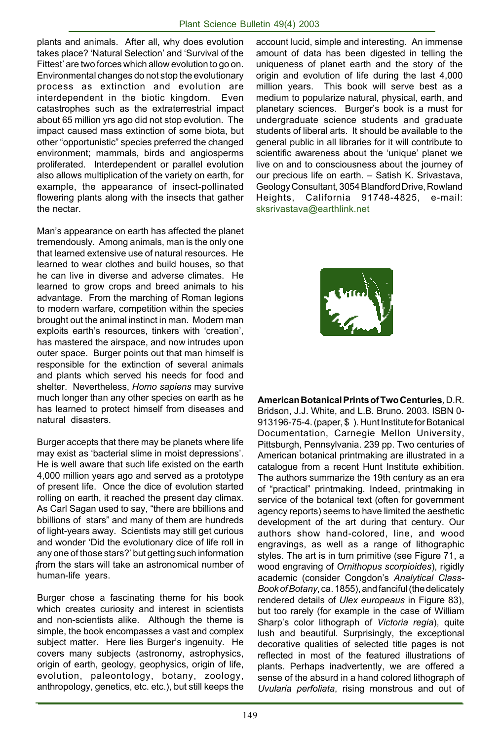plants and animals. After all, why does evolution takes place? 'Natural Selection' and 'Survival of the Fittest' are two forces which allow evolution to go on. Environmental changes do not stop the evolutionary process as extinction and evolution are interdependent in the biotic kingdom. Even catastrophes such as the extraterrestrial impact about 65 million yrs ago did not stop evolution. The impact caused mass extinction of some biota, but other "opportunistic" species preferred the changed environment; mammals, birds and angiosperms proliferated. Interdependent or parallel evolution also allows multiplication of the variety on earth, for example, the appearance of insect-pollinated flowering plants along with the insects that gather the nectar.

Man's appearance on earth has affected the planet tremendously. Among animals, man is the only one that learned extensive use of natural resources. He learned to wear clothes and build houses, so that he can live in diverse and adverse climates. He learned to grow crops and breed animals to his advantage. From the marching of Roman legions to modern warfare, competition within the species brought out the animal instinct in man. Modern man exploits earth's resources, tinkers with 'creation', has mastered the airspace, and now intrudes upon outer space. Burger points out that man himself is responsible for the extinction of several animals and plants which served his needs for food and shelter. Nevertheless, *Homo sapiens* may survive much longer than any other species on earth as he has learned to protect himself from diseases and natural disasters.

i from the stars will take an astronomical number of Burger accepts that there may be planets where life may exist as 'bacterial slime in moist depressions'. He is well aware that such life existed on the earth 4,000 million years ago and served as a prototype of present life. Once the dice of evolution started rolling on earth, it reached the present day climax. As Carl Sagan used to say, "there are bbillions and bbillions of stars" and many of them are hundreds of light-years away. Scientists may still get curious and wonder 'Did the evolutionary dice of life roll in any one of those stars?' but getting such information human-life years.

Burger chose a fascinating theme for his book which creates curiosity and interest in scientists and non-scientists alike. Although the theme is simple, the book encompasses a vast and complex subject matter. Here lies Burger's ingenuity. He covers many subjects (astronomy, astrophysics, origin of earth, geology, geophysics, origin of life, evolution, paleontology, botany, zoology, anthropology, genetics, etc. etc.), but still keeps the

account lucid, simple and interesting. An immense amount of data has been digested in telling the uniqueness of planet earth and the story of the origin and evolution of life during the last 4,000 million years. This book will serve best as a medium to popularize natural, physical, earth, and planetary sciences. Burger's book is a must for undergraduate science students and graduate students of liberal arts. It should be available to the general public in all libraries for it will contribute to scientific awareness about the 'unique' planet we live on and to consciousness about the journey of our precious life on earth. – Satish K. Srivastava, Geology Consultant, 3054 Blandford Drive, Rowland Heights, California 91748-4825, e-mail: sksrivastava@earthlink.net



**American Botanical Prints of Two Centuries***,* D.R. Bridson, J.J. White, and L.B. Bruno. 2003. ISBN 0- 913196-75-4. (paper, \$ ). Hunt Institute for Botanical Documentation, Carnegie Mellon University, Pittsburgh, Pennsylvania. 239 pp. Two centuries of American botanical printmaking are illustrated in a catalogue from a recent Hunt Institute exhibition. The authors summarize the 19th century as an era of "practical" printmaking. Indeed, printmaking in service of the botanical text (often for government agency reports) seems to have limited the aesthetic development of the art during that century. Our authors show hand-colored, line, and wood engravings, as well as a range of lithographic styles. The art is in turn primitive (see Figure 71, a wood engraving of *Ornithopus scorpioides*), rigidly academic (consider Congdon's *Analytical Class-Book of Botany*, ca. 1855), and fanciful (the delicately rendered details of *Ulex europeaus* in Figure 83), but too rarely (for example in the case of William Sharp's color lithograph of *Victoria regia*), quite lush and beautiful. Surprisingly, the exceptional decorative qualities of selected title pages is not reflected in most of the featured illustrations of plants. Perhaps inadvertently, we are offered a sense of the absurd in a hand colored lithograph of *Uvularia perfoliata*, rising monstrous and out of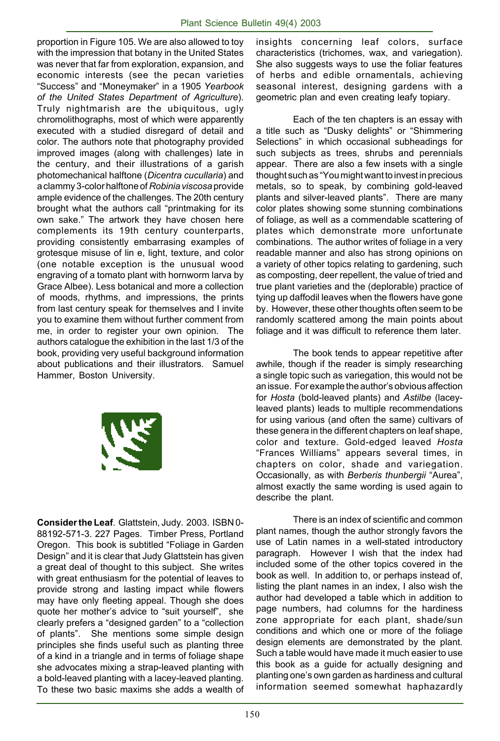proportion in Figure 105. We are also allowed to toy with the impression that botany in the United States was never that far from exploration, expansion, and economic interests (see the pecan varieties "Success" and "Moneymaker" in a 1905 *Yearbook of the United States Department of Agriculture*). Truly nightmarish are the ubiquitous, ugly chromolithographs, most of which were apparently executed with a studied disregard of detail and color. The authors note that photography provided improved images (along with challenges) late in the century, and their illustrations of a garish photomechanical halftone (*Dicentra cucullaria*) and a clammy 3-color halftone of *Robinia viscosa* provide ample evidence of the challenges. The 20th century brought what the authors call "printmaking for its own sake." The artwork they have chosen here complements its 19th century counterparts, providing consistently embarrasing examples of grotesque misuse of lin e, light, texture, and color (one notable exception is the unusual wood engraving of a tomato plant with hornworm larva by Grace Albee). Less botanical and more a collection of moods, rhythms, and impressions, the prints from last century speak for themselves and I invite you to examine them without further comment from me, in order to register your own opinion. The authors catalogue the exhibition in the last 1/3 of the book, providing very useful background information about publications and their illustrators. Samuel Hammer, Boston University.



**Consider the Leaf**. Glattstein, Judy. 2003. ISBN 0- 88192-571-3. 227 Pages. Timber Press, Portland Oregon. This book is subtitled "Foliage in Garden Design" and it is clear that Judy Glattstein has given a great deal of thought to this subject. She writes with great enthusiasm for the potential of leaves to provide strong and lasting impact while flowers may have only fleeting appeal. Though she does quote her mother's advice to "suit yourself", she clearly prefers a "designed garden" to a "collection of plants". She mentions some simple design principles she finds useful such as planting three of a kind in a triangle and in terms of foliage shape she advocates mixing a strap-leaved planting with a bold-leaved planting with a lacey-leaved planting. To these two basic maxims she adds a wealth of insights concerning leaf colors, surface characteristics (trichomes, wax, and variegation). She also suggests ways to use the foliar features of herbs and edible ornamentals, achieving seasonal interest, designing gardens with a geometric plan and even creating leafy topiary.

Each of the ten chapters is an essay with a title such as "Dusky delights" or "Shimmering Selections" in which occasional subheadings for such subjects as trees, shrubs and perennials appear. There are also a few insets with a single thought such as "You might want to invest in precious metals, so to speak, by combining gold-leaved plants and silver-leaved plants". There are many color plates showing some stunning combinations of foliage, as well as a commendable scattering of plates which demonstrate more unfortunate combinations. The author writes of foliage in a very readable manner and also has strong opinions on a variety of other topics relating to gardening, such as composting, deer repellent, the value of tried and true plant varieties and the (deplorable) practice of tying up daffodil leaves when the flowers have gone by. However, these other thoughts often seem to be randomly scattered among the main points about foliage and it was difficult to reference them later.

The book tends to appear repetitive after awhile, though if the reader is simply researching a single topic such as variegation, this would not be an issue. For example the author's obvious affection for *Hosta* (bold-leaved plants) and *Astilbe* (laceyleaved plants) leads to multiple recommendations for using various (and often the same) cultivars of these genera in the different chapters on leaf shape, color and texture. Gold-edged leaved *Hosta* "Frances Williams" appears several times, in chapters on color, shade and variegation. Occasionally, as with *Berberis thunbergii* "Aurea", almost exactly the same wording is used again to describe the plant.

There is an index of scientific and common plant names, though the author strongly favors the use of Latin names in a well-stated introductory paragraph. However I wish that the index had included some of the other topics covered in the book as well. In addition to, or perhaps instead of, listing the plant names in an index, I also wish the author had developed a table which in addition to page numbers, had columns for the hardiness zone appropriate for each plant, shade/sun conditions and which one or more of the foliage design elements are demonstrated by the plant. Such a table would have made it much easier to use this book as a guide for actually designing and planting one's own garden as hardiness and cultural information seemed somewhat haphazardly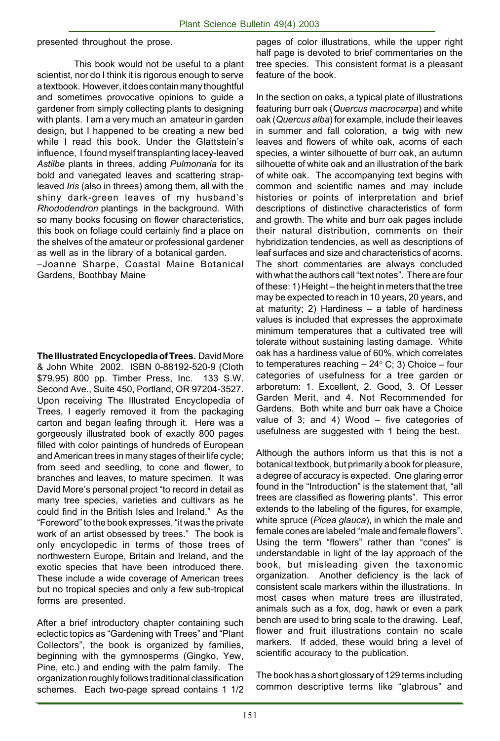presented throughout the prose.

This book would not be useful to a plant scientist, nor do I think it is rigorous enough to serve a textbook. However, it does contain many thoughtful and sometimes provocative opinions to guide a gardener from simply collecting plants to designing with plants. I am a very much an amateur in garden design, but I happened to be creating a new bed while I read this book. Under the Glattstein's influence, I found myself transplanting lacey-leaved *Astilbe* plants in threes, adding *Pulmonaria* for its bold and variegated leaves and scattering strapleaved *Iris* (also in threes) among them, all with the shiny dark-green leaves of my husband's *Rhododendron* plantings in the background. With so many books focusing on flower characteristics, this book on foliage could certainly find a place on the shelves of the amateur or professional gardener as well as in the library of a botanical garden.

–Joanne Sharpe, Coastal Maine Botanical Gardens, Boothbay Maine

**The Illustrated Encyclopedia of Trees.** David More & John White 2002. ISBN 0-88192-520-9 (Cloth \$79.95) 800 pp. Timber Press, Inc. 133 S.W. Second Ave., Suite 450, Portland, OR 97204-3527. Upon receiving The Illustrated Encyclopedia of Trees, I eagerly removed it from the packaging carton and began leafing through it. Here was a gorgeously illustrated book of exactly 800 pages filled with color paintings of hundreds of European and American trees in many stages of their life cycle; from seed and seedling, to cone and flower, to branches and leaves, to mature specimen. It was David More's personal project "to record in detail as many tree species, varieties and cultivars as he could find in the British Isles and Ireland." As the "Foreword" to the book expresses, "it was the private work of an artist obsessed by trees." The book is only encyclopedic in terms of those trees of northwestern Europe, Britain and Ireland, and the exotic species that have been introduced there. These include a wide coverage of American trees but no tropical species and only a few sub-tropical forms are presented.

After a brief introductory chapter containing such eclectic topics as "Gardening with Trees" and "Plant Collectors", the book is organized by families, beginning with the gymnosperms (Gingko, Yew, Pine, etc.) and ending with the palm family. The organization roughly follows traditional classification schemes. Each two-page spread contains 1 1/2 pages of color illustrations, while the upper right half page is devoted to brief commentaries on the tree species. This consistent format is a pleasant feature of the book.

In the section on oaks, a typical plate of illustrations featuring burr oak (*Quercus macrocarpa*) and white oak (*Quercus alba*) for example, include their leaves in summer and fall coloration, a twig with new leaves and flowers of white oak, acorns of each species, a winter silhouette of burr oak, an autumn silhouette of white oak and an illustration of the bark of white oak. The accompanying text begins with common and scientific names and may include histories or points of interpretation and brief descriptions of distinctive characteristics of form and growth. The white and burr oak pages include their natural distribution, comments on their hybridization tendencies, as well as descriptions of leaf surfaces and size and characteristics of acorns. The short commentaries are always concluded with what the authors call "text notes". There are four of these: 1) Height – the height in meters that the tree may be expected to reach in 10 years, 20 years, and at maturity; 2) Hardiness – a table of hardiness values is included that expresses the approximate minimum temperatures that a cultivated tree will tolerate without sustaining lasting damage. White oak has a hardiness value of 60%, which correlates to temperatures reaching  $-$  24 $\textdegree$  C; 3) Choice  $-$  four categories of usefulness for a tree garden or arboretum: 1. Excellent, 2. Good, 3. Of Lesser Garden Merit, and 4. Not Recommended for Gardens. Both white and burr oak have a Choice value of 3; and 4) Wood – five categories of usefulness are suggested with 1 being the best.

Although the authors inform us that this is not a botanical textbook, but primarily a book for pleasure, a degree of accuracy is expected. One glaring error found in the "Introduction" is the statement that, "all trees are classified as flowering plants". This error extends to the labeling of the figures, for example, white spruce (*Picea glauca*), in which the male and female cones are labeled "male and female flowers". Using the term "flowers" rather than "cones" is understandable in light of the lay approach of the book, but misleading given the taxonomic organization. Another deficiency is the lack of consistent scale markers within the illustrations. In most cases when mature trees are illustrated, animals such as a fox, dog, hawk or even a park bench are used to bring scale to the drawing. Leaf, flower and fruit illustrations contain no scale markers. If added, these would bring a level of scientific accuracy to the publication.

The book has a short glossary of 129 terms including common descriptive terms like "glabrous" and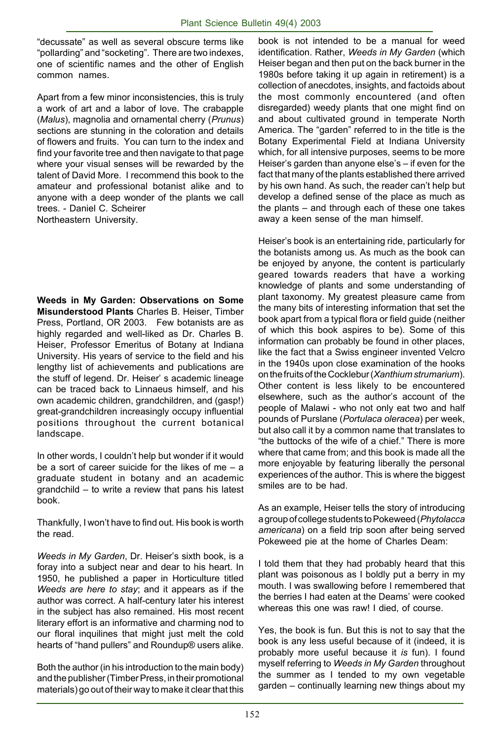"decussate" as well as several obscure terms like "pollarding" and "socketing". There are two indexes, one of scientific names and the other of English common names.

Apart from a few minor inconsistencies, this is truly a work of art and a labor of love. The crabapple (*Malus*), magnolia and ornamental cherry (*Prunus*) sections are stunning in the coloration and details of flowers and fruits. You can turn to the index and find your favorite tree and then navigate to that page where your visual senses will be rewarded by the talent of David More. I recommend this book to the amateur and professional botanist alike and to anyone with a deep wonder of the plants we call trees. - Daniel C. Scheirer Northeastern University.

**Weeds in My Garden: Observations on Some Misunderstood Plants** Charles B. Heiser, Timber Press, Portland, OR 2003. Few botanists are as highly regarded and well-liked as Dr. Charles B. Heiser, Professor Emeritus of Botany at Indiana University. His years of service to the field and his lengthy list of achievements and publications are the stuff of legend. Dr. Heiser' s academic lineage can be traced back to Linnaeus himself, and his own academic children, grandchildren, and (gasp!) great-grandchildren increasingly occupy influential positions throughout the current botanical landscape.

In other words, I couldn't help but wonder if it would be a sort of career suicide for the likes of me – a graduate student in botany and an academic grandchild – to write a review that pans his latest book.

Thankfully, I won't have to find out. His book is worth the read.

*Weeds in My Garden*, Dr. Heiser's sixth book, is a foray into a subject near and dear to his heart. In 1950, he published a paper in Horticulture titled *Weeds are here to stay*; and it appears as if the author was correct. A half-century later his interest in the subject has also remained. His most recent literary effort is an informative and charming nod to our floral inquilines that might just melt the cold hearts of "hand pullers" and Roundup® users alike.

Both the author (in his introduction to the main body) and the publisher (Timber Press, in their promotional materials) go out of their way to make it clear that this book is not intended to be a manual for weed identification. Rather, *Weeds in My Garden* (which Heiser began and then put on the back burner in the 1980s before taking it up again in retirement) is a collection of anecdotes, insights, and factoids about the most commonly encountered (and often disregarded) weedy plants that one might find on and about cultivated ground in temperate North America. The "garden" referred to in the title is the Botany Experimental Field at Indiana University which, for all intensive purposes, seems to be more Heiser's garden than anyone else's – if even for the fact that many of the plants established there arrived by his own hand. As such, the reader can't help but develop a defined sense of the place as much as the plants – and through each of these one takes away a keen sense of the man himself.

Heiser's book is an entertaining ride, particularly for the botanists among us. As much as the book can be enjoyed by anyone, the content is particularly geared towards readers that have a working knowledge of plants and some understanding of plant taxonomy. My greatest pleasure came from the many bits of interesting information that set the book apart from a typical flora or field guide (neither of which this book aspires to be). Some of this information can probably be found in other places, like the fact that a Swiss engineer invented Velcro in the 1940s upon close examination of the hooks on the fruits of the Cocklebur (*Xanthiumstrumarium*). Other content is less likely to be encountered elsewhere, such as the author's account of the people of Malawi - who not only eat two and half pounds of Purslane (*Portulaca oleracea*) per week, but also call it by a common name that translates to "the buttocks of the wife of a chief." There is more where that came from; and this book is made all the more enjoyable by featuring liberally the personal experiences of the author. This is where the biggest smiles are to be had.

As an example, Heiser tells the story of introducing a group of college students to Pokeweed (*Phytolacca americana*) on a field trip soon after being served Pokeweed pie at the home of Charles Deam:

I told them that they had probably heard that this plant was poisonous as I boldly put a berry in my mouth. I was swallowing before I remembered that the berries I had eaten at the Deams' were cooked whereas this one was raw! I died, of course.

Yes, the book is fun. But this is not to say that the book is any less useful because of it (indeed, it is probably more useful because it *is* fun). I found myself referring to *Weeds in My Garden* throughout the summer as I tended to my own vegetable garden – continually learning new things about my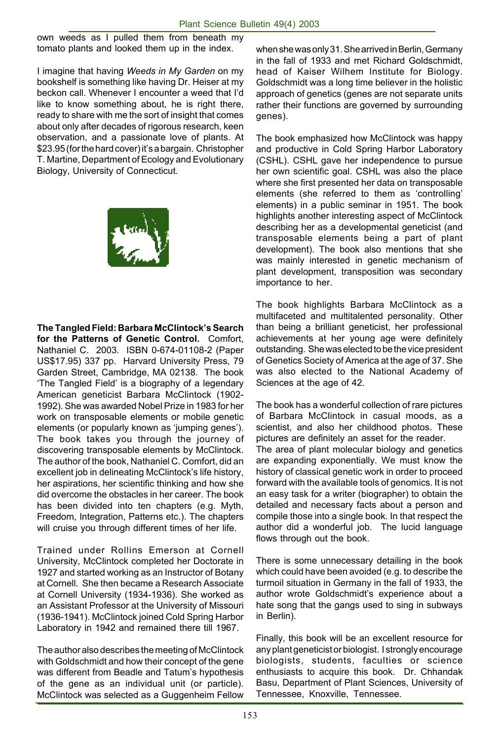own weeds as I pulled them from beneath my tomato plants and looked them up in the index.

I imagine that having *Weeds in My Garden* on my bookshelf is something like having Dr. Heiser at my beckon call. Whenever I encounter a weed that I'd like to know something about, he is right there, ready to share with me the sort of insight that comes about only after decades of rigorous research, keen observation, and a passionate love of plants. At \$23.95 (for the hard cover) it's a bargain. Christopher T. Martine, Department of Ecology and Evolutionary Biology, University of Connecticut.



**The Tangled Field: Barbara McClintock's Search for the Patterns of Genetic Control.** Comfort, Nathaniel C. 2003. ISBN 0-674-01108-2 (Paper US\$17.95) 337 pp. Harvard University Press, 79 Garden Street, Cambridge, MA 02138. The book 'The Tangled Field' is a biography of a legendary American geneticist Barbara McClintock (1902- 1992). She was awarded Nobel Prize in 1983 for her work on transposable elements or mobile genetic elements (or popularly known as 'jumping genes'). The book takes you through the journey of discovering transposable elements by McClintock. The author of the book, Nathaniel C. Comfort, did an excellent job in delineating McClintock's life history, her aspirations, her scientific thinking and how she did overcome the obstacles in her career. The book has been divided into ten chapters (e.g. Myth, Freedom, Integration, Patterns etc.). The chapters will cruise you through different times of her life.

Trained under Rollins Emerson at Cornell University, McClintock completed her Doctorate in 1927 and started working as an Instructor of Botany at Cornell. She then became a Research Associate at Cornell University (1934-1936). She worked as an Assistant Professor at the University of Missouri (1936-1941). McClintock joined Cold Spring Harbor Laboratory in 1942 and remained there till 1967.

The author also describes the meeting of McClintock with Goldschmidt and how their concept of the gene was different from Beadle and Tatum's hypothesis of the gene as an individual unit (or particle). McClintock was selected as a Guggenheim Fellow

when she was only 31. She arrived in Berlin, Germany in the fall of 1933 and met Richard Goldschmidt, head of Kaiser Wilhem Institute for Biology. Goldschmidt was a long time believer in the holistic approach of genetics (genes are not separate units rather their functions are governed by surrounding genes).

The book emphasized how McClintock was happy and productive in Cold Spring Harbor Laboratory (CSHL). CSHL gave her independence to pursue her own scientific goal. CSHL was also the place where she first presented her data on transposable elements (she referred to them as 'controlling' elements) in a public seminar in 1951. The book highlights another interesting aspect of McClintock describing her as a developmental geneticist (and transposable elements being a part of plant development). The book also mentions that she was mainly interested in genetic mechanism of plant development, transposition was secondary importance to her.

The book highlights Barbara McClintock as a multifaceted and multitalented personality. Other than being a brilliant geneticist, her professional achievements at her young age were definitely outstanding. She was elected to be the vice president of Genetics Society of America at the age of 37. She was also elected to the National Academy of Sciences at the age of 42.

The book has a wonderful collection of rare pictures of Barbara McClintock in casual moods, as a scientist, and also her childhood photos. These pictures are definitely an asset for the reader. The area of plant molecular biology and genetics are expanding exponentially. We must know the history of classical genetic work in order to proceed forward with the available tools of genomics. It is not an easy task for a writer (biographer) to obtain the detailed and necessary facts about a person and compile those into a single book. In that respect the author did a wonderful job. The lucid language flows through out the book.

There is some unnecessary detailing in the book which could have been avoided (e.g. to describe the turmoil situation in Germany in the fall of 1933, the author wrote Goldschmidt's experience about a hate song that the gangs used to sing in subways in Berlin).

Finally, this book will be an excellent resource for any plant geneticist or biologist. I strongly encourage biologists, students, faculties or science enthusiasts to acquire this book. Dr. Chhandak Basu, Department of Plant Sciences, University of Tennessee, Knoxville, Tennessee.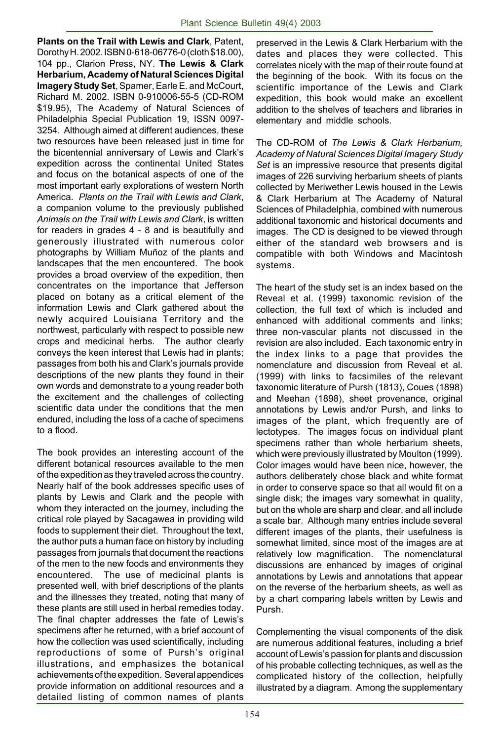**Plants on the Trail with Lewis and Clark**, Patent, Dorothy H. 2002. ISBN 0-618-06776-0 (cloth \$18.00), 104 pp., Clarion Press, NY. **The Lewis & Clark Herbarium, Academy of Natural Sciences Digital Imagery Study Set**, Spamer, Earle E. and McCourt, Richard M. 2002. ISBN 0-910006-55-5 (CD-ROM \$19.95), The Academy of Natural Sciences of Philadelphia Special Publication 19, ISSN 0097- 3254. Although aimed at different audiences, these two resources have been released just in time for the bicentennial anniversary of Lewis and Clark's expedition across the continental United States and focus on the botanical aspects of one of the most important early explorations of western North America. *Plants on the Trail with Lewis and Clark*, a companion volume to the previously published *Animals on the Trail with Lewis and Clark*, is written for readers in grades 4 - 8 and is beautifully and generously illustrated with numerous color photographs by William Muñoz of the plants and landscapes that the men encountered. The book provides a broad overview of the expedition, then concentrates on the importance that Jefferson placed on botany as a critical element of the information Lewis and Clark gathered about the newly acquired Louisiana Territory and the northwest, particularly with respect to possible new crops and medicinal herbs. The author clearly conveys the keen interest that Lewis had in plants; passages from both his and Clark's journals provide descriptions of the new plants they found in their own words and demonstrate to a young reader both the excitement and the challenges of collecting scientific data under the conditions that the men endured, including the loss of a cache of specimens to a flood.

The book provides an interesting account of the different botanical resources available to the men of the expedition as they traveled across the country. Nearly half of the book addresses specific uses of plants by Lewis and Clark and the people with whom they interacted on the journey, including the critical role played by Sacagawea in providing wild foods to supplement their diet. Throughout the text, the author puts a human face on history by including passages from journals that document the reactions of the men to the new foods and environments they encountered. The use of medicinal plants is presented well, with brief descriptions of the plants and the illnesses they treated, noting that many of these plants are still used in herbal remedies today. The final chapter addresses the fate of Lewis's specimens after he returned, with a brief account of how the collection was used scientifically, including reproductions of some of Pursh's original illustrations, and emphasizes the botanical achievements of the expedition. Several appendices provide information on additional resources and a detailed listing of common names of plants

preserved in the Lewis & Clark Herbarium with the dates and places they were collected. This correlates nicely with the map of their route found at the beginning of the book. With its focus on the scientific importance of the Lewis and Clark expedition, this book would make an excellent addition to the shelves of teachers and libraries in elementary and middle schools.

The CD-ROM of *The Lewis & Clark Herbarium, Academy of Natural Sciences Digital Imagery Study Set* is an impressive resource that presents digital images of 226 surviving herbarium sheets of plants collected by Meriwether Lewis housed in the Lewis & Clark Herbarium at The Academy of Natural Sciences of Philadelphia, combined with numerous additional taxonomic and historical documents and images. The CD is designed to be viewed through either of the standard web browsers and is compatible with both Windows and Macintosh systems.

The heart of the study set is an index based on the Reveal et al. (1999) taxonomic revision of the collection, the full text of which is included and enhanced with additional comments and links; three non-vascular plants not discussed in the revision are also included. Each taxonomic entry in the index links to a page that provides the nomenclature and discussion from Reveal et al. (1999) with links to facsimiles of the relevant taxonomic literature of Pursh (1813), Coues (1898) and Meehan (1898), sheet provenance, original annotations by Lewis and/or Pursh, and links to images of the plant, which frequently are of lectotypes. The images focus on individual plant specimens rather than whole herbarium sheets, which were previously illustrated by Moulton (1999). Color images would have been nice, however, the authors deliberately chose black and white format in order to conserve space so that all would fit on a single disk; the images vary somewhat in quality, but on the whole are sharp and clear, and all include a scale bar. Although many entries include several different images of the plants, their usefulness is somewhat limited, since most of the images are at relatively low magnification. The nomenclatural discussions are enhanced by images of original annotations by Lewis and annotations that appear on the reverse of the herbarium sheets, as well as by a chart comparing labels written by Lewis and Pursh.

Complementing the visual components of the disk are numerous additional features, including a brief account of Lewis's passion for plants and discussion of his probable collecting techniques, as well as the complicated history of the collection, helpfully illustrated by a diagram. Among the supplementary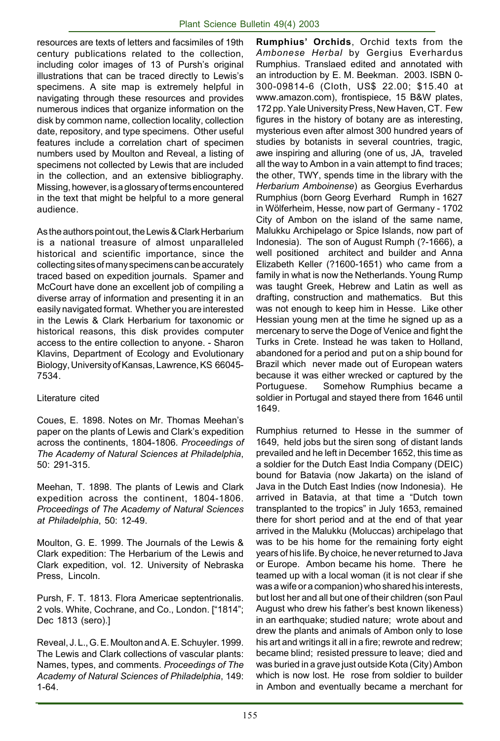resources are texts of letters and facsimiles of 19th century publications related to the collection, including color images of 13 of Pursh's original illustrations that can be traced directly to Lewis's specimens. A site map is extremely helpful in navigating through these resources and provides numerous indices that organize information on the disk by common name, collection locality, collection date, repository, and type specimens. Other useful features include a correlation chart of specimen numbers used by Moulton and Reveal, a listing of specimens not collected by Lewis that are included in the collection, and an extensive bibliography. Missing, however, is a glossary of terms encountered in the text that might be helpful to a more general audience.

As the authors point out, the Lewis & Clark Herbarium is a national treasure of almost unparalleled historical and scientific importance, since the collecting sites of many specimens can be accurately traced based on expedition journals. Spamer and McCourt have done an excellent job of compiling a diverse array of information and presenting it in an easily navigated format. Whether you are interested in the Lewis & Clark Herbarium for taxonomic or historical reasons, this disk provides computer access to the entire collection to anyone. - Sharon Klavins, Department of Ecology and Evolutionary Biology, University of Kansas, Lawrence, KS 66045- 7534.

#### Literature cited

Coues, E. 1898. Notes on Mr. Thomas Meehan's paper on the plants of Lewis and Clark's expedition across the continents, 1804-1806. *Proceedings of The Academy of Natural Sciences at Philadelphia*, 50: 291-315.

Meehan, T. 1898. The plants of Lewis and Clark expedition across the continent, 1804-1806. *Proceedings of The Academy of Natural Sciences at Philadelphia*, 50: 12-49.

Moulton, G. E. 1999. The Journals of the Lewis & Clark expedition: The Herbarium of the Lewis and Clark expedition, vol. 12. University of Nebraska Press, Lincoln.

Pursh, F. T. 1813. Flora Americae septentrionalis. 2 vols. White, Cochrane, and Co., London. ["1814"; Dec 1813 (sero).]

Reveal, J. L., G. E. Moulton and A. E. Schuyler. 1999. The Lewis and Clark collections of vascular plants: Names, types, and comments. *Proceedings of The Academy of Natural Sciences of Philadelphia*, 149: 1-64.

**Rumphius' Orchids**, Orchid texts from the *Ambonese Herbal* by Gergius Everhardus Rumphius. Translaed edited and annotated with an introduction by E. M. Beekman. 2003. ISBN 0- 300-09814-6 (Cloth, US\$ 22.00; \$15.40 at www.amazon.com), frontispiece, 15 B&W plates, 172 pp. Yale University Press, New Haven, CT. Few figures in the history of botany are as interesting, mysterious even after almost 300 hundred years of studies by botanists in several countries, tragic, awe inspiring and alluring (one of us, JA, traveled all the way to Ambon in a vain attempt to find traces; the other, TWY, spends time in the library with the *Herbarium Amboinense*) as Georgius Everhardus Rumphius (born Georg Everhard Rumph in 1627 in Wölferheim, Hesse, now part of Germany - 1702 City of Ambon on the island of the same name, Malukku Archipelago or Spice Islands, now part of Indonesia). The son of August Rumph (?-1666), a well positioned architect and builder and Anna Elizabeth Keller (?1600-1651) who came from a family in what is now the Netherlands. Young Rump was taught Greek, Hebrew and Latin as well as drafting, construction and mathematics. But this was not enough to keep him in Hesse. Like other Hessian young men at the time he signed up as a mercenary to serve the Doge of Venice and fight the Turks in Crete. Instead he was taken to Holland, abandoned for a period and put on a ship bound for Brazil which never made out of European waters because it was either wrecked or captured by the Portuguese. Somehow Rumphius became a soldier in Portugal and stayed there from 1646 until 1649.

Rumphius returned to Hesse in the summer of 1649, held jobs but the siren song of distant lands prevailed and he left in December 1652, this time as a soldier for the Dutch East India Company (DEIC) bound for Batavia (now Jakarta) on the island of Java in the Dutch East Indies (now Indonesia). He arrived in Batavia, at that time a "Dutch town transplanted to the tropics" in July 1653, remained there for short period and at the end of that year arrived in the Malukku (Moluccas) archipelago that was to be his home for the remaining forty eight years of his life. By choice, he never returned to Java or Europe. Ambon became his home. There he teamed up with a local woman (it is not clear if she was a wife or a companion) who shared his interests, but lost her and all but one of their children (son Paul August who drew his father's best known likeness) in an earthquake; studied nature; wrote about and drew the plants and animals of Ambon only to lose his art and writings it all in a fire; rewrote and redrew; became blind; resisted pressure to leave; died and was buried in a grave just outside Kota (City) Ambon which is now lost. He rose from soldier to builder in Ambon and eventually became a merchant for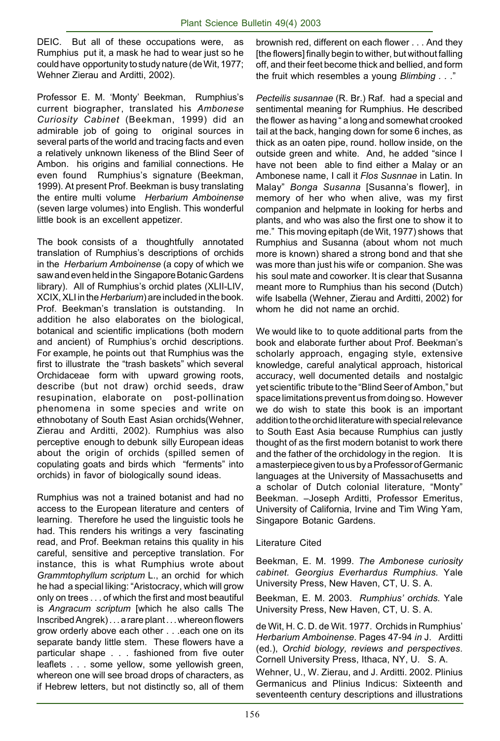DEIC. But all of these occupations were, as Rumphius put it, a mask he had to wear just so he could have opportunity to study nature (de Wit, 1977; Wehner Zierau and Arditti, 2002).

Professor E. M. 'Monty' Beekman, Rumphius's current biographer, translated his *Ambonese Curiosity Cabinet* (Beekman, 1999) did an admirable job of going to original sources in several parts of the world and tracing facts and even a relatively unknown likeness of the Blind Seer of Ambon. his origins and familial connections. He even found Rumphius's signature (Beekman, 1999). At present Prof. Beekman is busy translating the entire multi volume *Herbarium Amboinense* (seven large volumes) into English. This wonderful little book is an excellent appetizer.

The book consists of a thoughtfully annotated translation of Rumphius's descriptions of orchids in the *Herbarium Amboinense* (a copy of which we saw and even held in the Singapore Botanic Gardens library). All of Rumphius's orchid plates (XLII-LIV, XCIX, XLI in the *Herbarium*) are included in the book. Prof. Beekman's translation is outstanding. In addition he also elaborates on the biological, botanical and scientific implications (both modern and ancient) of Rumphius's orchid descriptions. For example, he points out that Rumphius was the first to illustrate the "trash baskets" which several Orchidaceae form with upward growing roots, describe (but not draw) orchid seeds, draw resupination, elaborate on post-pollination phenomena in some species and write on ethnobotany of South East Asian orchids(Wehner, Zierau and Arditti, 2002). Rumphius was also perceptive enough to debunk silly European ideas about the origin of orchids (spilled semen of copulating goats and birds which "ferments" into orchids) in favor of biologically sound ideas.

Rumphius was not a trained botanist and had no access to the European literature and centers of learning. Therefore he used the linguistic tools he had. This renders his writings a very fascinating read, and Prof. Beekman retains this quality in his careful, sensitive and perceptive translation. For instance, this is what Rumphius wrote about *Grammtophyllum scriptum* L., an orchid for which he had a special liking: "Aristocracy, which will grow only on trees . . . of which the first and most beautiful is *Angracum scriptum* [which he also calls The Inscribed Angrek) . . . a rare plant . . . whereon flowers grow orderly above each other . . .each one on its separate bandy little stem. These flowers have a particular shape . . . fashioned from five outer leaflets . . . some yellow, some yellowish green, whereon one will see broad drops of characters, as if Hebrew letters, but not distinctly so, all of them

brownish red, different on each flower . . . And they [the flowers] finally begin to wither, but without falling off, and their feet become thick and bellied, and form the fruit which resembles a young *Blimbing . . .*"

*Pecteilis susannae* (R. Br.) Raf. had a special and sentimental meaning for Rumphius. He described the flower as having " a long and somewhat crooked tail at the back, hanging down for some 6 inches, as thick as an oaten pipe, round. hollow inside, on the outside green and white. And, he added "since I have not been able to find either a Malay or an Ambonese name, I call it *Flos Susnnae* in Latin. In Malay" *Bonga Susanna* [Susanna's flower], in memory of her who when alive, was my first companion and helpmate in looking for herbs and plants, and who was also the first one to show it to me." This moving epitaph (de Wit, 1977) shows that Rumphius and Susanna (about whom not much more is known) shared a strong bond and that she was more than just his wife or companion. She was his soul mate and coworker. It is clear that Susanna meant more to Rumphius than his second (Dutch) wife Isabella (Wehner, Zierau and Arditti, 2002) for whom he did not name an orchid.

We would like to to quote additional parts from the book and elaborate further about Prof. Beekman's scholarly approach, engaging style, extensive knowledge, careful analytical approach, historical accuracy, well documented details and nostalgic yet scientific tribute to the "Blind Seer of Ambon," but space limitations prevent us from doing so. However we do wish to state this book is an important addition to the orchid literature with special relevance to South East Asia because Rumphius can justly thought of as the first modern botanist to work there and the father of the orchidology in the region. It is a masterpiece given to us by a Professor of Germanic languages at the University of Massachusetts and a scholar of Dutch colonial literature, "Monty" Beekman. –Joseph Arditti, Professor Emeritus, University of California, Irvine and Tim Wing Yam, Singapore Botanic Gardens.

#### Literature Cited

Beekman, E. M. 1999. *The Ambonese curiosity cabinet. Georgius Everhardus Rumphius.* Yale University Press, New Haven, CT, U. S. A.

Beekman, E. M. 2003. *Rumphius' orchids.* Yale University Press, New Haven, CT, U. S. A.

de Wit, H. C. D. de Wit. 1977. Orchids in Rumphius' *Herbarium Amboinense.* Pages 47-94 *in* J. Arditti (ed.), *Orchid biology, reviews and perspectives*. Cornell University Press, Ithaca, NY, U. S. A.

Wehner, U., W. Zierau, and J. Arditti. 2002. Plinius Germanicus and Plinius Indicus: Sixteenth and seventeenth century descriptions and illustrations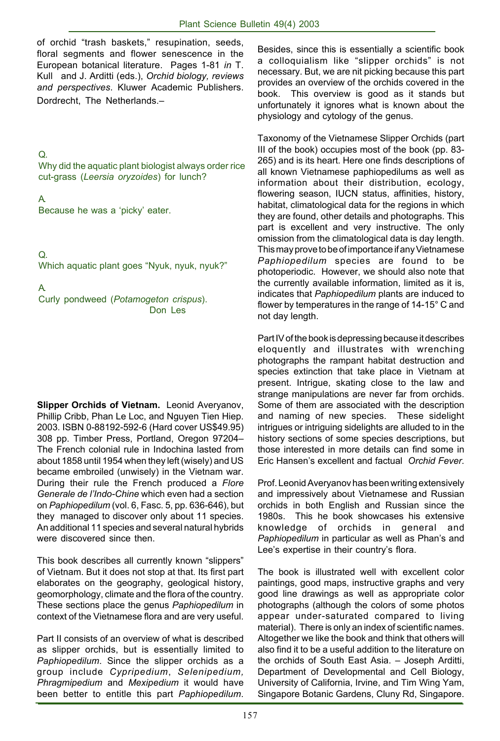of orchid "trash baskets," resupination, seeds, floral segments and flower senescence in the European botanical literature. Pages 1-81 *in* T. Kull and J. Arditti (eds.), *Orchid biology, reviews and perspectives*. Kluwer Academic Publishers. Dordrecht, The Netherlands.–

## Q.

Why did the aquatic plant biologist always order rice cut-grass (*Leersia oryzoides*) for lunch?

## A.

Because he was a 'picky' eater.

Q. Which aquatic plant goes "Nyuk, nyuk, nyuk?"

A.

Curly pondweed (*Potamogeton crispus*). Don Les

**Slipper Orchids of Vietnam.** Leonid Averyanov, Phillip Cribb, Phan Le Loc, and Nguyen Tien Hiep. 2003. ISBN 0-88192-592-6 (Hard cover US\$49.95) 308 pp. Timber Press, Portland, Oregon 97204– The French colonial rule in Indochina lasted from about 1858 until 1954 when they left (wisely) and US became embroiled (unwisely) in the Vietnam war. During their rule the French produced a *Flore Generale de l'Indo-Chine* which even had a section on *Paphiopedilum* (vol. 6, Fasc. 5, pp. 636-646), but they managed to discover only about 11 species. An additional 11 species and several natural hybrids were discovered since then.

This book describes all currently known "slippers" of Vietnam. But it does not stop at that. Its first part elaborates on the geography, geological history, geomorphology, climate and the flora of the country. These sections place the genus *Paphiopedilum* in context of the Vietnamese flora and are very useful.

Part II consists of an overview of what is described as slipper orchids, but is essentially limited to *Paphiopedilum*. Since the slipper orchids as a group include *Cypripedium*, *Selenipedium, Phragmipedium* and *Mexipedium* it would have been better to entitle this part *Paphiopedilum*.

Besides, since this is essentially a scientific book a colloquialism like "slipper orchids" is not necessary. But, we are nit picking because this part provides an overview of the orchids covered in the book. This overview is good as it stands but unfortunately it ignores what is known about the physiology and cytology of the genus.

Taxonomy of the Vietnamese Slipper Orchids (part III of the book) occupies most of the book (pp. 83- 265) and is its heart. Here one finds descriptions of all known Vietnamese paphiopedilums as well as information about their distribution, ecology, flowering season, IUCN status, affinities, history, habitat, climatological data for the regions in which they are found, other details and photographs. This part is excellent and very instructive. The only omission from the climatological data is day length. This may prove to be of importance if any Vietnamese *Paphiopedilum* species are found to be photoperiodic. However, we should also note that the currently available information, limited as it is, indicates that *Paphiopedilum* plants are induced to flower by temperatures in the range of 14-15° C and not day length.

Part IV of the book is depressing because it describes eloquently and illustrates with wrenching photographs the rampant habitat destruction and species extinction that take place in Vietnam at present. Intrigue, skating close to the law and strange manipulations are never far from orchids. Some of them are associated with the description and naming of new species. These sidelight intrigues or intriguing sidelights are alluded to in the history sections of some species descriptions, but those interested in more details can find some in Eric Hansen's excellent and factual *Orchid Fever*.

Prof. Leonid Averyanov has been writing extensively and impressively about Vietnamese and Russian orchids in both English and Russian since the 1980s. This he book showcases his extensive knowledge of orchids in general and *Paphiopedilum* in particular as well as Phan's and Lee's expertise in their country's flora.

The book is illustrated well with excellent color paintings, good maps, instructive graphs and very good line drawings as well as appropriate color photographs (although the colors of some photos appear under-saturated compared to living material). There is only an index of scientific names. Altogether we like the book and think that others will also find it to be a useful addition to the literature on the orchids of South East Asia. – Joseph Arditti, Department of Developmental and Cell Biology, University of California, Irvine, and Tim Wing Yam, Singapore Botanic Gardens, Cluny Rd, Singapore.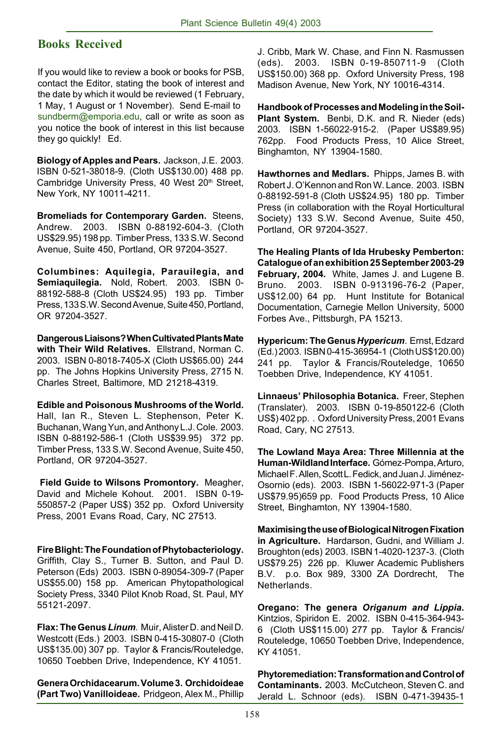## **Books Received**

If you would like to review a book or books for PSB, contact the Editor, stating the book of interest and the date by which it would be reviewed (1 February, 1 May, 1 August or 1 November). Send E-mail to sundberm@emporia.edu, call or write as soon as you notice the book of interest in this list because they go quickly! Ed.

**Biology of Apples and Pears.** Jackson, J.E. 2003. ISBN 0-521-38018-9. (Cloth US\$130.00) 488 pp. Cambridge University Press, 40 West 20<sup>th</sup> Street, New York, NY 10011-4211.

**Bromeliads for Contemporary Garden.** Steens, Andrew. 2003. ISBN 0-88192-604-3. (Cloth US\$29.95) 198 pp. Timber Press, 133 S.W. Second Avenue, Suite 450, Portland, OR 97204-3527.

**Columbines: Aquilegia, Parauilegia, and Semiaquilegia.** Nold, Robert. 2003. ISBN 0- 88192-588-8 (Cloth US\$24.95) 193 pp. Timber Press, 133 S.W. Second Avenue, Suite 450, Portland, OR 97204-3527.

**Dangerous Liaisons? When Cultivated Plants Mate with Their Wild Relatives.** Ellstrand, Norman C. 2003. ISBN 0-8018-7405-X (Cloth US\$65.00) 244 pp. The Johns Hopkins University Press, 2715 N. Charles Street, Baltimore, MD 21218-4319.

**Edible and Poisonous Mushrooms of the World.** Hall, Ian R., Steven L. Stephenson, Peter K. Buchanan, Wang Yun, and Anthony L.J. Cole. 2003. ISBN 0-88192-586-1 (Cloth US\$39.95) 372 pp. Timber Press, 133 S.W. Second Avenue, Suite 450, Portland, OR 97204-3527.

 **Field Guide to Wilsons Promontory.** Meagher, David and Michele Kohout. 2001. ISBN 0-19- 550857-2 (Paper US\$) 352 pp. Oxford University Press, 2001 Evans Road, Cary, NC 27513.

**Fire Blight: The Foundation of Phytobacteriology.** Griffith, Clay S., Turner B. Sutton, and Paul D. Peterson (Eds) 2003. ISBN 0-89054-309-7 (Paper US\$55.00) 158 pp. American Phytopathological Society Press, 3340 Pilot Knob Road, St. Paul, MY 55121-2097.

**Flax: The Genus** *Linum*. Muir, Alister D. and Neil D. Westcott (Eds.) 2003. ISBN 0-415-30807-0 (Cloth US\$135.00) 307 pp. Taylor & Francis/Routeledge, 10650 Toebben Drive, Independence, KY 41051.

**Genera Orchidacearum. Volume 3. Orchidoideae (Part Two) Vanilloideae.** Pridgeon, Alex M., Phillip

J. Cribb, Mark W. Chase, and Finn N. Rasmussen (eds). 2003. ISBN 0-19-850711-9 (Cloth US\$150.00) 368 pp. Oxford University Press, 198 Madison Avenue, New York, NY 10016-4314.

**Handbook of Processes and Modeling in the Soil-Plant System.** Benbi, D.K. and R. Nieder (eds) 2003. ISBN 1-56022-915-2. (Paper US\$89.95) 762pp. Food Products Press, 10 Alice Street, Binghamton, NY 13904-1580.

**Hawthornes and Medlars.** Phipps, James B. with Robert J. O'Kennon and Ron W. Lance. 2003. ISBN 0-88192-591-8 (Cloth US\$24.95) 180 pp. Timber Press (in collaboration with the Royal Horticultural Society) 133 S.W. Second Avenue, Suite 450, Portland, OR 97204-3527.

**The Healing Plants of Ida Hrubesky Pemberton: Catalogue of an exhibition 25 September 2003-29 February, 2004.** White, James J. and Lugene B. Bruno. 2003. ISBN 0-913196-76-2 (Paper, US\$12.00) 64 pp. Hunt Institute for Botanical Documentation, Carnegie Mellon University, 5000 Forbes Ave., Pittsburgh, PA 15213.

**Hypericum: The Genus** *Hypericum*. Ernst, Edzard (Ed.) 2003. ISBN 0-415-36954-1 (Cloth US\$120.00) 241 pp. Taylor & Francis/Routeledge, 10650 Toebben Drive, Independence, KY 41051.

**Linnaeus' Philosophia Botanica.** Freer, Stephen (Translater). 2003. ISBN 0-19-850122-6 (Cloth US\$) 402 pp. . Oxford University Press, 2001 Evans Road, Cary, NC 27513.

**The Lowland Maya Area: Three Millennia at the Human-Wildland Interface.** Gómez-Pompa, Arturo, Michael F. Allen, Scott L. Fedick, and Juan J. Jiménez-Osornio (eds). 2003. ISBN 1-56022-971-3 (Paper US\$79.95)659 pp. Food Products Press, 10 Alice Street, Binghamton, NY 13904-1580.

**Maximising the use of Biological Nitrogen Fixation in Agriculture.** Hardarson, Gudni, and William J. Broughton (eds) 2003. ISBN 1-4020-1237-3. (Cloth US\$79.25) 226 pp. Kluwer Academic Publishers B.V. p.o. Box 989, 3300 ZA Dordrecht, The Netherlands.

**Oregano: The genera** *Origanum and Lippia.* Kintzios, Spiridon E. 2002. ISBN 0-415-364-943- 6 (Cloth US\$115.00) 277 pp. Taylor & Francis/ Routeledge, 10650 Toebben Drive, Independence, KY 41051.

**Phytoremediation: Transformation and Control of Contaminants.** 2003. McCutcheon, Steven C. and Jerald L. Schnoor (eds). ISBN 0-471-39435-1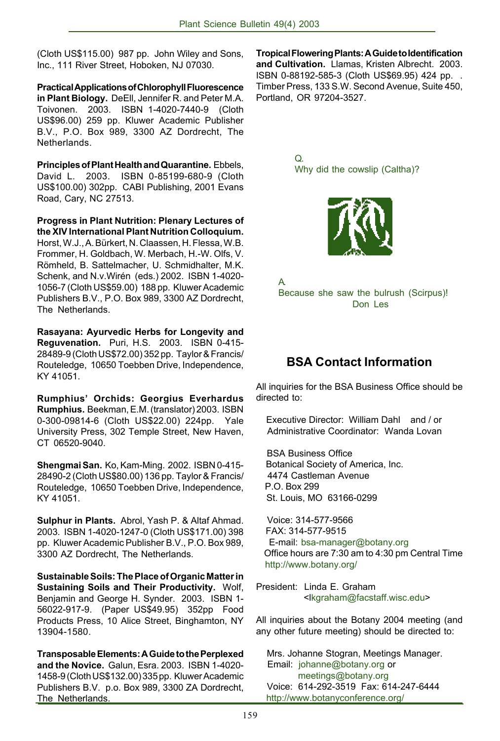(Cloth US\$115.00) 987 pp. John Wiley and Sons, Inc., 111 River Street, Hoboken, NJ 07030.

**Practical Applications of Chlorophyll Fluorescence in Plant Biology.** DeEll, Jennifer R. and Peter M.A. Toivonen. 2003. ISBN 1-4020-7440-9 (Cloth US\$96.00) 259 pp. Kluwer Academic Publisher B.V., P.O. Box 989, 3300 AZ Dordrecht, The Netherlands.

**Principles of Plant Health and Quarantine.** Ebbels, David L. 2003. ISBN 0-85199-680-9 (Cloth US\$100.00) 302pp. CABI Publishing, 2001 Evans Road, Cary, NC 27513.

**Progress in Plant Nutrition: Plenary Lectures of the XIV International Plant Nutrition Colloquium.** Horst, W.J., A. Bürkert, N. Claassen, H. Flessa, W.B. Frommer, H. Goldbach, W. Merbach, H.-W. Olfs, V. Römheld, B. Sattelmacher, U. Schmidhalter, M.K. Schenk, and N.v.Wirén (eds.) 2002. ISBN 1-4020- 1056-7 (Cloth US\$59.00) 188 pp. Kluwer Academic Publishers B.V., P.O. Box 989, 3300 AZ Dordrecht, The Netherlands.

**Rasayana: Ayurvedic Herbs for Longevity and Reguvenation.** Puri, H.S. 2003. ISBN 0-415- 28489-9 (Cloth US\$72.00) 352 pp. Taylor & Francis/ Routeledge, 10650 Toebben Drive, Independence, KY 41051.

**Rumphius' Orchids: Georgius Everhardus Rumphius.** Beekman, E.M. (translator) 2003. ISBN 0-300-09814-6 (Cloth US\$22.00) 224pp. Yale University Press, 302 Temple Street, New Haven, CT 06520-9040.

**Shengmai San.** Ko, Kam-Ming. 2002. ISBN 0-415- 28490-2 (Cloth US\$80.00) 136 pp. Taylor & Francis/ Routeledge, 10650 Toebben Drive, Independence, KY 41051.

**Sulphur in Plants.** Abrol, Yash P. & Altaf Ahmad. 2003. ISBN 1-4020-1247-0 (Cloth US\$171.00) 398 pp. Kluwer Academic Publisher B.V., P.O. Box 989, 3300 AZ Dordrecht, The Netherlands.

**Sustainable Soils: The Place of Organic Matter in Sustaining Soils and Their Productivity.** Wolf, Benjamin and George H. Synder. 2003. ISBN 1- 56022-917-9. (Paper US\$49.95) 352pp Food Products Press, 10 Alice Street, Binghamton, NY 13904-1580.

**Transposable Elements: A Guide to the Perplexed and the Novice.** Galun, Esra. 2003. ISBN 1-4020- 1458-9 (Cloth US\$132.00) 335 pp. Kluwer Academic Publishers B.V. p.o. Box 989, 3300 ZA Dordrecht, The Netherlands.

**Tropical Flowering Plants: A Guide to Identification and Cultivation.** Llamas, Kristen Albrecht. 2003. ISBN 0-88192-585-3 (Cloth US\$69.95) 424 pp. . Timber Press, 133 S.W. Second Avenue, Suite 450, Portland, OR 97204-3527.

> Q. Why did the cowslip (Caltha)?



A. Because she saw the bulrush (Scirpus)! Don Les

## **BSA Contact Information**

All inquiries for the BSA Business Office should be directed to:

 Executive Director: William Dahl and / or Administrative Coordinator: Wanda Lovan

 BSA Business Office Botanical Society of America, Inc. 4474 Castleman Avenue P.O. Box 299 St. Louis, MO 63166-0299

 Voice: 314-577-9566 FAX: 314-577-9515 E-mail: bsa-manager@botany.org Office hours are 7:30 am to 4:30 pm Central Time http://www.botany.org/

President: Linda E. Graham <lkgraham@facstaff.wisc.edu>

All inquiries about the Botany 2004 meeting (and any other future meeting) should be directed to:

 Mrs. Johanne Stogran, Meetings Manager. Email: johanne@botany.org or meetings@botany.org Voice: 614-292-3519 Fax: 614-247-6444 http://www.botanyconference.org/